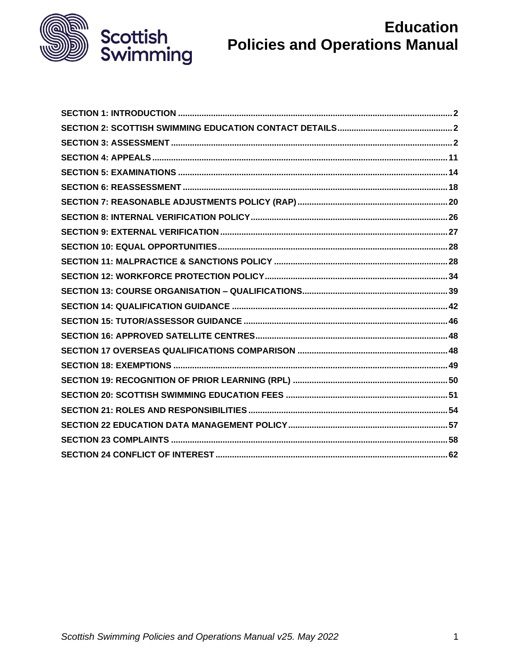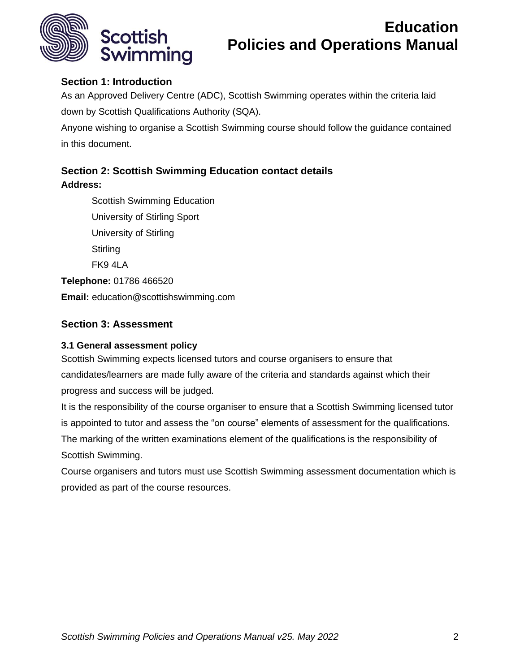

## <span id="page-1-0"></span>**Section 1: Introduction**

As an Approved Delivery Centre (ADC), Scottish Swimming operates within the criteria laid down by Scottish Qualifications Authority (SQA).

Anyone wishing to organise a Scottish Swimming course should follow the guidance contained in this document.

## <span id="page-1-1"></span>**Section 2: Scottish Swimming Education contact details**

**Address:**

Scottish Swimming Education University of Stirling Sport University of Stirling **Stirling** FK9 4LA **Telephone:** 01786 466520 **Email:** education@scottishswimming.com

## <span id="page-1-2"></span>**Section 3: Assessment**

## **3.1 General assessment policy**

Scottish Swimming expects licensed tutors and course organisers to ensure that candidates/learners are made fully aware of the criteria and standards against which their progress and success will be judged.

It is the responsibility of the course organiser to ensure that a Scottish Swimming licensed tutor is appointed to tutor and assess the "on course" elements of assessment for the qualifications. The marking of the written examinations element of the qualifications is the responsibility of Scottish Swimming.

Course organisers and tutors must use Scottish Swimming assessment documentation which is provided as part of the course resources.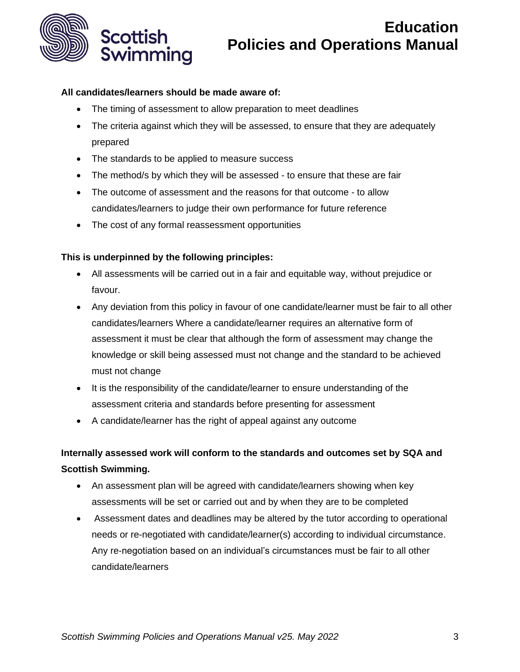

#### **All candidates/learners should be made aware of:**

- The timing of assessment to allow preparation to meet deadlines
- The criteria against which they will be assessed, to ensure that they are adequately prepared
- The standards to be applied to measure success
- The method/s by which they will be assessed to ensure that these are fair
- The outcome of assessment and the reasons for that outcome to allow candidates/learners to judge their own performance for future reference
- The cost of any formal reassessment opportunities

## **This is underpinned by the following principles:**

- All assessments will be carried out in a fair and equitable way, without prejudice or favour.
- Any deviation from this policy in favour of one candidate/learner must be fair to all other candidates/learners Where a candidate/learner requires an alternative form of assessment it must be clear that although the form of assessment may change the knowledge or skill being assessed must not change and the standard to be achieved must not change
- It is the responsibility of the candidate/learner to ensure understanding of the assessment criteria and standards before presenting for assessment
- A candidate/learner has the right of appeal against any outcome

## **Internally assessed work will conform to the standards and outcomes set by SQA and Scottish Swimming.**

- An assessment plan will be agreed with candidate/learners showing when key assessments will be set or carried out and by when they are to be completed
- Assessment dates and deadlines may be altered by the tutor according to operational needs or re-negotiated with candidate/learner(s) according to individual circumstance. Any re-negotiation based on an individual's circumstances must be fair to all other candidate/learners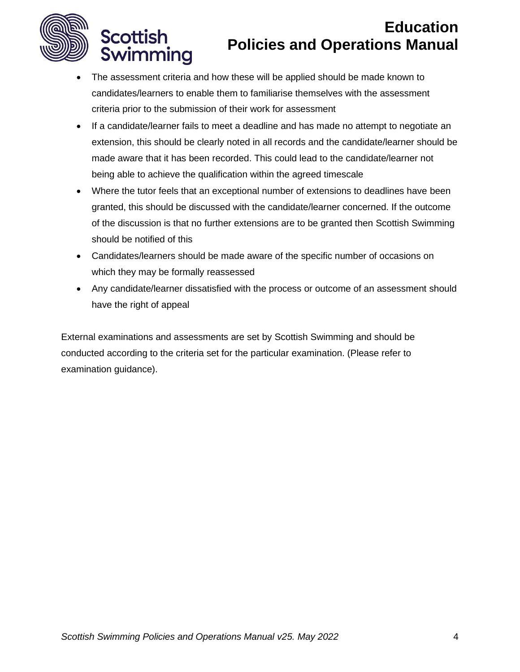

Scottish

Swimming

# **Education Policies and Operations Manual**

- The assessment criteria and how these will be applied should be made known to candidates/learners to enable them to familiarise themselves with the assessment criteria prior to the submission of their work for assessment
- If a candidate/learner fails to meet a deadline and has made no attempt to negotiate an extension, this should be clearly noted in all records and the candidate/learner should be made aware that it has been recorded. This could lead to the candidate/learner not being able to achieve the qualification within the agreed timescale
- Where the tutor feels that an exceptional number of extensions to deadlines have been granted, this should be discussed with the candidate/learner concerned. If the outcome of the discussion is that no further extensions are to be granted then Scottish Swimming should be notified of this
- Candidates/learners should be made aware of the specific number of occasions on which they may be formally reassessed
- Any candidate/learner dissatisfied with the process or outcome of an assessment should have the right of appeal

External examinations and assessments are set by Scottish Swimming and should be conducted according to the criteria set for the particular examination. (Please refer to examination guidance).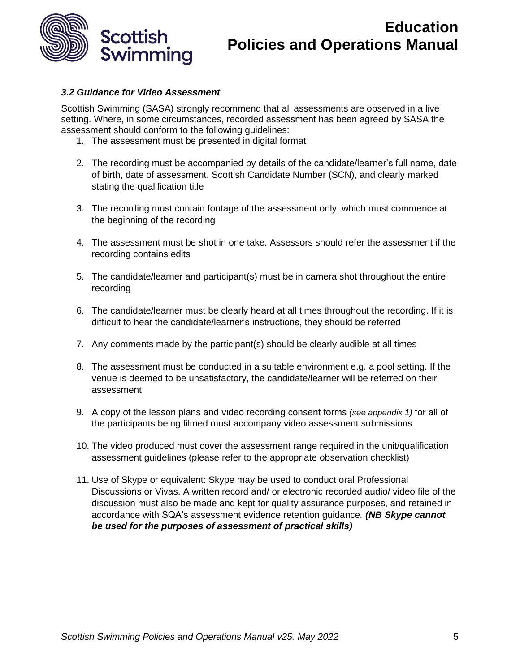

#### *3.2 Guidance for Video Assessment*

Scottish Swimming (SASA) strongly recommend that all assessments are observed in a live setting. Where, in some circumstances, recorded assessment has been agreed by SASA the assessment should conform to the following guidelines:

- 1. The assessment must be presented in digital format
- 2. The recording must be accompanied by details of the candidate/learner's full name, date of birth, date of assessment, Scottish Candidate Number (SCN), and clearly marked stating the qualification title
- 3. The recording must contain footage of the assessment only, which must commence at the beginning of the recording
- 4. The assessment must be shot in one take. Assessors should refer the assessment if the recording contains edits
- 5. The candidate/learner and participant(s) must be in camera shot throughout the entire recording
- 6. The candidate/learner must be clearly heard at all times throughout the recording. If it is difficult to hear the candidate/learner's instructions, they should be referred
- 7. Any comments made by the participant(s) should be clearly audible at all times
- 8. The assessment must be conducted in a suitable environment e.g. a pool setting. If the venue is deemed to be unsatisfactory, the candidate/learner will be referred on their assessment
- 9. A copy of the lesson plans and video recording consent forms *(see appendix 1)* for all of the participants being filmed must accompany video assessment submissions
- 10. The video produced must cover the assessment range required in the unit/qualification assessment guidelines (please refer to the appropriate observation checklist)
- 11. Use of Skype or equivalent: Skype may be used to conduct oral Professional Discussions or Vivas. A written record and/ or electronic recorded audio/ video file of the discussion must also be made and kept for quality assurance purposes, and retained in accordance with SQA's assessment evidence retention guidance*. (NB Skype cannot be used for the purposes of assessment of practical skills)*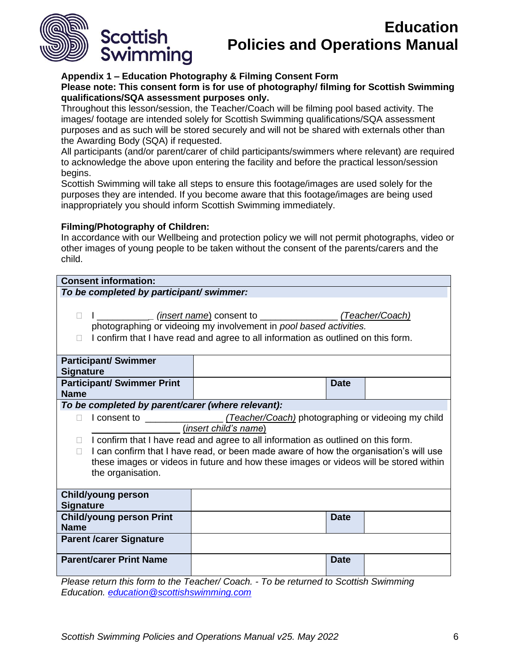

#### **Appendix 1 – Education Photography & Filming Consent Form**

**Please note: This consent form is for use of photography/ filming for Scottish Swimming qualifications/SQA assessment purposes only.** 

Throughout this lesson/session, the Teacher/Coach will be filming pool based activity. The images/ footage are intended solely for Scottish Swimming qualifications/SQA assessment purposes and as such will be stored securely and will not be shared with externals other than the Awarding Body (SQA) if requested.

All participants (and/or parent/carer of child participants/swimmers where relevant) are required to acknowledge the above upon entering the facility and before the practical lesson/session begins.

Scottish Swimming will take all steps to ensure this footage/images are used solely for the purposes they are intended. If you become aware that this footage/images are being used inappropriately you should inform Scottish Swimming immediately.

#### **Filming/Photography of Children:**

In accordance with our Wellbeing and protection policy we will not permit photographs, video or other images of young people to be taken without the consent of the parents/carers and the child.

| <b>Consent information:</b>                                                                                                                                                                                                                                                                   |  |             |  |  |  |
|-----------------------------------------------------------------------------------------------------------------------------------------------------------------------------------------------------------------------------------------------------------------------------------------------|--|-------------|--|--|--|
| To be completed by participant/ swimmer:                                                                                                                                                                                                                                                      |  |             |  |  |  |
| (Teacher/Coach)<br>photographing or videoing my involvement in pool based activities.<br>I confirm that I have read and agree to all information as outlined on this form.                                                                                                                    |  |             |  |  |  |
| <b>Participant/ Swimmer</b><br><b>Signature</b>                                                                                                                                                                                                                                               |  |             |  |  |  |
| <b>Participant/ Swimmer Print</b><br><b>Name</b>                                                                                                                                                                                                                                              |  | <b>Date</b> |  |  |  |
| To be completed by parent/carer (where relevant):                                                                                                                                                                                                                                             |  |             |  |  |  |
| (insert child's name)                                                                                                                                                                                                                                                                         |  |             |  |  |  |
| I confirm that I have read and agree to all information as outlined on this form.<br>I can confirm that I have read, or been made aware of how the organisation's will use<br>П<br>these images or videos in future and how these images or videos will be stored within<br>the organisation. |  |             |  |  |  |
| <b>Child/young person</b><br><b>Signature</b>                                                                                                                                                                                                                                                 |  |             |  |  |  |
| <b>Child/young person Print</b><br><b>Name</b>                                                                                                                                                                                                                                                |  | <b>Date</b> |  |  |  |
| <b>Parent /carer Signature</b>                                                                                                                                                                                                                                                                |  |             |  |  |  |
| <b>Parent/carer Print Name</b>                                                                                                                                                                                                                                                                |  | <b>Date</b> |  |  |  |

<span id="page-5-0"></span>*Please return this form to the Teacher/ Coach. - To be returned to Scottish Swimming Education. [education@scottishswimming.com](mailto:education@scottishswimming.com)*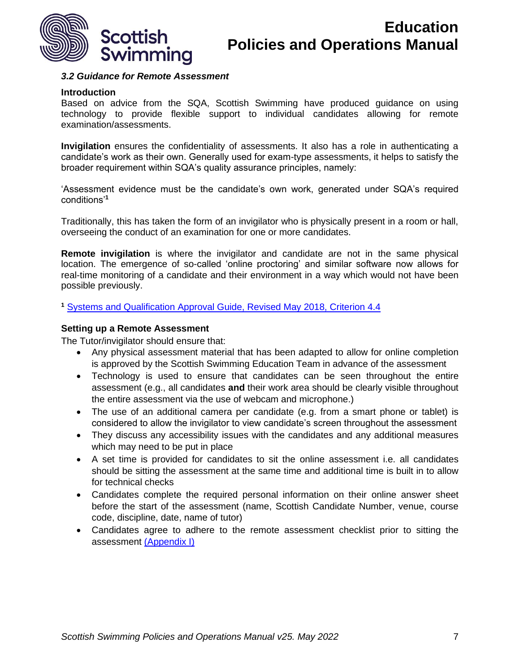

#### *3.2 Guidance for Remote Assessment*

#### **Introduction**

Based on advice from the SQA, Scottish Swimming have produced guidance on using technology to provide flexible support to individual candidates allowing for remote examination/assessments.

**Invigilation** ensures the confidentiality of assessments. It also has a role in authenticating a candidate's work as their own. Generally used for exam-type assessments, it helps to satisfy the broader requirement within SQA's quality assurance principles, namely:

'Assessment evidence must be the candidate's own work, generated under SQA's required conditions'**<sup>1</sup>**

Traditionally, this has taken the form of an invigilator who is physically present in a room or hall, overseeing the conduct of an examination for one or more candidates.

**Remote invigilation** is where the invigilator and candidate are not in the same physical location. The emergence of so-called 'online proctoring' and similar software now allows for real-time monitoring of a candidate and their environment in a way which would not have been possible previously.

**<sup>1</sup>** [Systems and Qualification Approval Guide, Revised May 2018, Criterion 4.4](https://www.sqa.org.uk/sqa/files_ccc/Systems_and_Qualification_Approval_Guide.pdf)

#### **Setting up a Remote Assessment**

The Tutor/invigilator should ensure that:

- Any physical assessment material that has been adapted to allow for online completion is approved by the Scottish Swimming Education Team in advance of the assessment
- Technology is used to ensure that candidates can be seen throughout the entire assessment (e.g., all candidates **and** their work area should be clearly visible throughout the entire assessment via the use of webcam and microphone.)
- The use of an additional camera per candidate (e.g. from a smart phone or tablet) is considered to allow the invigilator to view candidate's screen throughout the assessment
- They discuss any accessibility issues with the candidates and any additional measures which may need to be put in place
- A set time is provided for candidates to sit the online assessment i.e. all candidates should be sitting the assessment at the same time and additional time is built in to allow for technical checks
- Candidates complete the required personal information on their online answer sheet before the start of the assessment (name, Scottish Candidate Number, venue, course code, discipline, date, name of tutor)
- Candidates agree to adhere to the remote assessment checklist prior to sitting the assessment (Appendix I)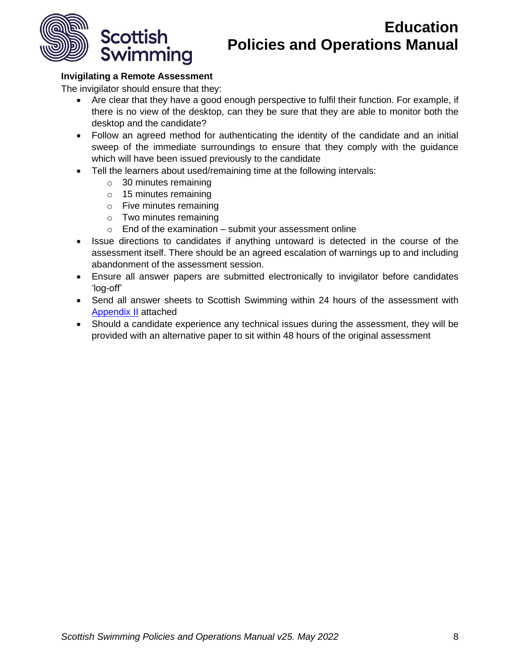

## **Invigilating a Remote Assessment**

The invigilator should ensure that they:

- Are clear that they have a good enough perspective to fulfil their function. For example, if there is no view of the desktop, can they be sure that they are able to monitor both the desktop and the candidate?
- Follow an agreed method for authenticating the identity of the candidate and an initial sweep of the immediate surroundings to ensure that they comply with the guidance which will have been issued previously to the candidate
- Tell the learners about used/remaining time at the following intervals:
	- o 30 minutes remaining
	- o 15 minutes remaining
	- o Five minutes remaining
	- o Two minutes remaining
	- $\circ$  End of the examination submit your assessment online
- Issue directions to candidates if anything untoward is detected in the course of the assessment itself. There should be an agreed escalation of warnings up to and including abandonment of the assessment session.
- Ensure all answer papers are submitted electronically to invigilator before candidates 'log-off'
- Send all answer sheets to Scottish Swimming within 24 hours of the assessment with [Appendix II](#page-9-0) attached
- Should a candidate experience any technical issues during the assessment, they will be provided with an alternative paper to sit within 48 hours of the original assessment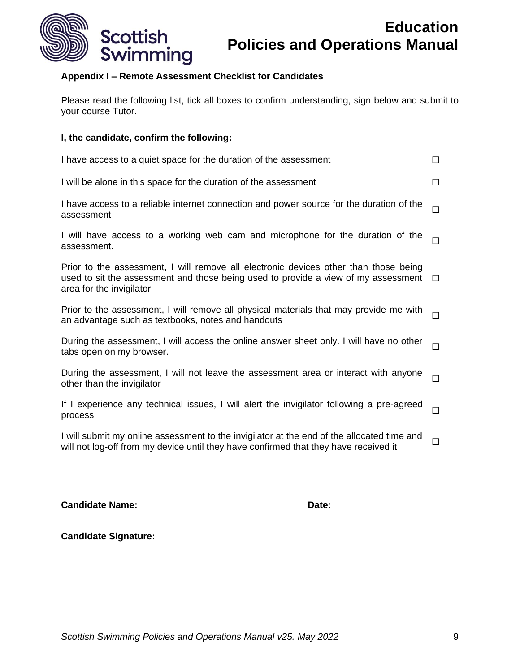

## **Appendix I – Remote Assessment Checklist for Candidates**

Please read the following list, tick all boxes to confirm understanding, sign below and submit to your course Tutor.

#### **I, the candidate, confirm the following:**

| I have access to a quiet space for the duration of the assessment                                                                                                                                      | П      |
|--------------------------------------------------------------------------------------------------------------------------------------------------------------------------------------------------------|--------|
| I will be alone in this space for the duration of the assessment                                                                                                                                       | П      |
| I have access to a reliable internet connection and power source for the duration of the<br>assessment                                                                                                 |        |
| I will have access to a working web cam and microphone for the duration of the<br>assessment.                                                                                                          |        |
| Prior to the assessment, I will remove all electronic devices other than those being<br>used to sit the assessment and those being used to provide a view of my assessment<br>area for the invigilator | $\Box$ |
| Prior to the assessment, I will remove all physical materials that may provide me with<br>an advantage such as textbooks, notes and handouts                                                           | П      |
| During the assessment, I will access the online answer sheet only. I will have no other<br>tabs open on my browser.                                                                                    | $\Box$ |
| During the assessment, I will not leave the assessment area or interact with anyone<br>other than the invigilator                                                                                      | П      |
|                                                                                                                                                                                                        |        |

If I experience any technical issues, I will alert the invigilator following a pre-agreed  $\hfill \Box$ 

I will submit my online assessment to the invigilator at the end of the allocated time and will not log-off from my device until they have confirmed that they have received it  $□$ 

#### **Candidate Name:** Date:

**Candidate Signature:**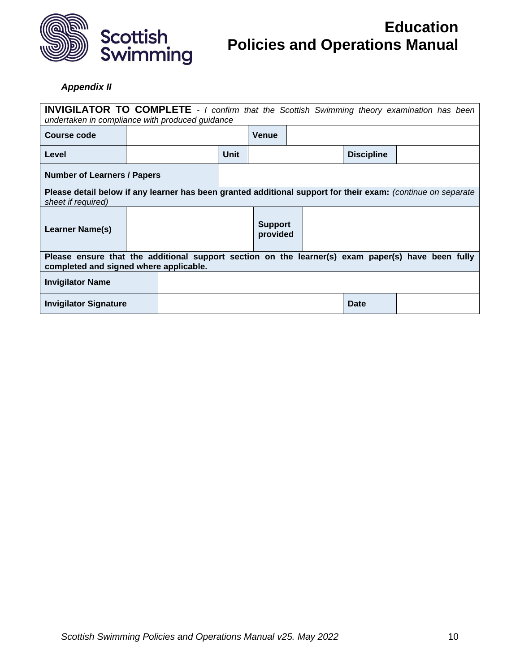

## <span id="page-9-0"></span>*Appendix II*

<span id="page-9-1"></span>

| <b>INVIGILATOR TO COMPLETE</b> - I confirm that the Scottish Swimming theory examination has been<br>undertaken in compliance with produced guidance |  |  |      |                            |  |                   |  |
|------------------------------------------------------------------------------------------------------------------------------------------------------|--|--|------|----------------------------|--|-------------------|--|
| <b>Course code</b>                                                                                                                                   |  |  |      | <b>Venue</b>               |  |                   |  |
| Level                                                                                                                                                |  |  | Unit |                            |  | <b>Discipline</b> |  |
| <b>Number of Learners / Papers</b>                                                                                                                   |  |  |      |                            |  |                   |  |
| Please detail below if any learner has been granted additional support for their exam: (continue on separate<br>sheet if required)                   |  |  |      |                            |  |                   |  |
| Learner Name(s)                                                                                                                                      |  |  |      | <b>Support</b><br>provided |  |                   |  |
| Please ensure that the additional support section on the learner(s) exam paper(s) have been fully<br>completed and signed where applicable.          |  |  |      |                            |  |                   |  |
| <b>Invigilator Name</b>                                                                                                                              |  |  |      |                            |  |                   |  |
| <b>Invigilator Signature</b>                                                                                                                         |  |  |      |                            |  | Date              |  |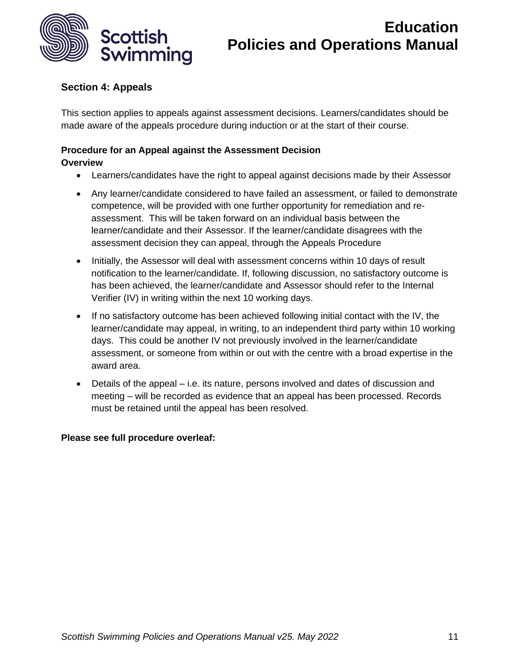

## <span id="page-10-0"></span>**Section 4: Appeals**

This section applies to appeals against assessment decisions. Learners/candidates should be made aware of the appeals procedure during induction or at the start of their course.

## **Procedure for an Appeal against the Assessment Decision**

## **Overview**

- Learners/candidates have the right to appeal against decisions made by their Assessor
- Any learner/candidate considered to have failed an assessment, or failed to demonstrate competence, will be provided with one further opportunity for remediation and reassessment. This will be taken forward on an individual basis between the learner/candidate and their Assessor. If the learner/candidate disagrees with the assessment decision they can appeal, through the Appeals Procedure
- Initially, the Assessor will deal with assessment concerns within 10 days of result notification to the learner/candidate. If, following discussion, no satisfactory outcome is has been achieved, the learner/candidate and Assessor should refer to the Internal Verifier (IV) in writing within the next 10 working days.
- If no satisfactory outcome has been achieved following initial contact with the IV, the learner/candidate may appeal, in writing, to an independent third party within 10 working days. This could be another IV not previously involved in the learner/candidate assessment, or someone from within or out with the centre with a broad expertise in the award area.
- Details of the appeal i.e. its nature, persons involved and dates of discussion and meeting – will be recorded as evidence that an appeal has been processed. Records must be retained until the appeal has been resolved.

## **Please see full procedure overleaf:**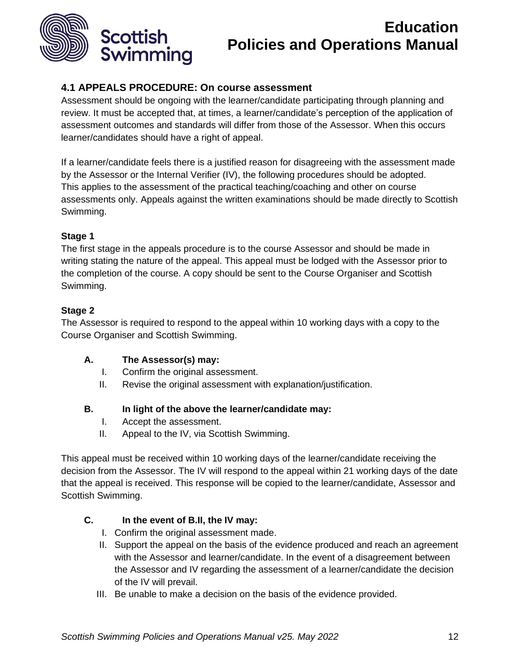

## **4.1 APPEALS PROCEDURE: On course assessment**

Assessment should be ongoing with the learner/candidate participating through planning and review. It must be accepted that, at times, a learner/candidate's perception of the application of assessment outcomes and standards will differ from those of the Assessor. When this occurs learner/candidates should have a right of appeal.

If a learner/candidate feels there is a justified reason for disagreeing with the assessment made by the Assessor or the Internal Verifier (IV), the following procedures should be adopted. This applies to the assessment of the practical teaching/coaching and other on course assessments only. Appeals against the written examinations should be made directly to Scottish Swimming.

## **Stage 1**

The first stage in the appeals procedure is to the course Assessor and should be made in writing stating the nature of the appeal. This appeal must be lodged with the Assessor prior to the completion of the course. A copy should be sent to the Course Organiser and Scottish Swimming.

## **Stage 2**

The Assessor is required to respond to the appeal within 10 working days with a copy to the Course Organiser and Scottish Swimming.

## **A. The Assessor(s) may:**

- I. Confirm the original assessment.
- II. Revise the original assessment with explanation/justification.

## **B. In light of the above the learner/candidate may:**

- I. Accept the assessment.
- II. Appeal to the IV, via Scottish Swimming.

This appeal must be received within 10 working days of the learner/candidate receiving the decision from the Assessor. The IV will respond to the appeal within 21 working days of the date that the appeal is received. This response will be copied to the learner/candidate, Assessor and Scottish Swimming.

## **C. In the event of B.II, the IV may:**

- I. Confirm the original assessment made.
- II. Support the appeal on the basis of the evidence produced and reach an agreement with the Assessor and learner/candidate. In the event of a disagreement between the Assessor and IV regarding the assessment of a learner/candidate the decision of the IV will prevail.
- III. Be unable to make a decision on the basis of the evidence provided.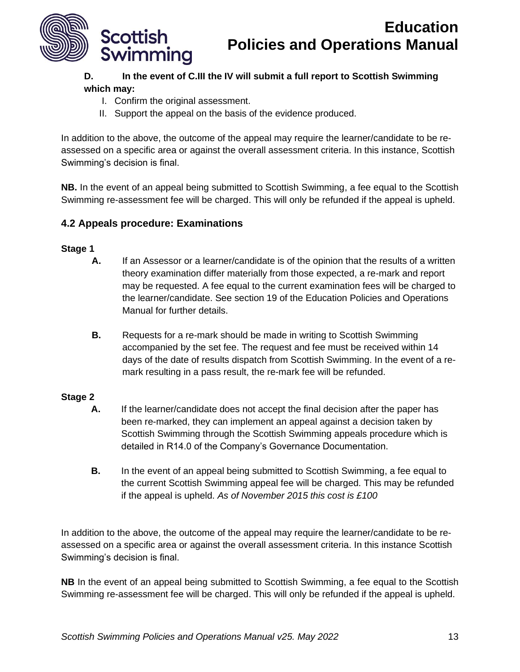

## **D. In the event of C.III the IV will submit a full report to Scottish Swimming which may:**

- I. Confirm the original assessment.
- II. Support the appeal on the basis of the evidence produced.

In addition to the above, the outcome of the appeal may require the learner/candidate to be reassessed on a specific area or against the overall assessment criteria. In this instance, Scottish Swimming's decision is final.

**NB.** In the event of an appeal being submitted to Scottish Swimming, a fee equal to the Scottish Swimming re-assessment fee will be charged. This will only be refunded if the appeal is upheld.

## **4.2 Appeals procedure: Examinations**

#### **Stage 1**

- **A.** If an Assessor or a learner/candidate is of the opinion that the results of a written theory examination differ materially from those expected, a re-mark and report may be requested. A fee equal to the current examination fees will be charged to the learner/candidate. See section 19 of the Education Policies and Operations Manual for further details.
- **B.** Requests for a re-mark should be made in writing to Scottish Swimming accompanied by the set fee. The request and fee must be received within 14 days of the date of results dispatch from Scottish Swimming. In the event of a remark resulting in a pass result, the re-mark fee will be refunded.

## **Stage 2**

- **A.** If the learner/candidate does not accept the final decision after the paper has been re-marked, they can implement an appeal against a decision taken by Scottish Swimming through the Scottish Swimming appeals procedure which is detailed in R14.0 of the Company's Governance Documentation.
- **B.** In the event of an appeal being submitted to Scottish Swimming, a fee equal to the current Scottish Swimming appeal fee will be charged. This may be refunded if the appeal is upheld. *As of November 2015 this cost is £100*

In addition to the above, the outcome of the appeal may require the learner/candidate to be reassessed on a specific area or against the overall assessment criteria. In this instance Scottish Swimming's decision is final.

**NB** In the event of an appeal being submitted to Scottish Swimming, a fee equal to the Scottish Swimming re-assessment fee will be charged. This will only be refunded if the appeal is upheld.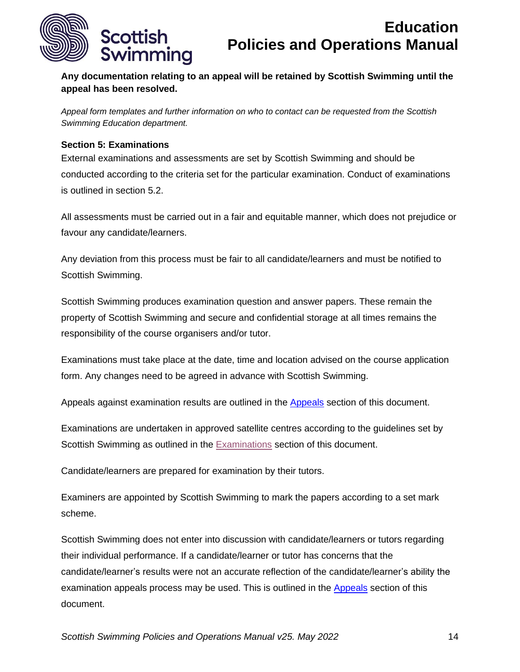

**Any documentation relating to an appeal will be retained by Scottish Swimming until the appeal has been resolved.**

*Appeal form templates and further information on who to contact can be requested from the Scottish Swimming Education department.*

### <span id="page-13-0"></span>**Section 5: Examinations**

External examinations and assessments are set by Scottish Swimming and should be conducted according to the criteria set for the particular examination. Conduct of examinations is outlined in section 5.2.

All assessments must be carried out in a fair and equitable manner, which does not prejudice or favour any candidate/learners.

Any deviation from this process must be fair to all candidate/learners and must be notified to Scottish Swimming.

Scottish Swimming produces examination question and answer papers. These remain the property of Scottish Swimming and secure and confidential storage at all times remains the responsibility of the course organisers and/or tutor.

Examinations must take place at the date, time and location advised on the course application form. Any changes need to be agreed in advance with Scottish Swimming.

Appeals against examination results are outlined in the [Appeals](#page-9-1) section of this document.

Examinations are undertaken in approved satellite centres according to the guidelines set by Scottish Swimming as outlined in the [Examinations](#page-13-0) section of this document.

Candidate/learners are prepared for examination by their tutors.

Examiners are appointed by Scottish Swimming to mark the papers according to a set mark scheme.

Scottish Swimming does not enter into discussion with candidate/learners or tutors regarding their individual performance. If a candidate/learner or tutor has concerns that the candidate/learner's results were not an accurate reflection of the candidate/learner's ability the examination appeals process may be used. This is outlined in the [Appeals](#page-9-1) section of this document.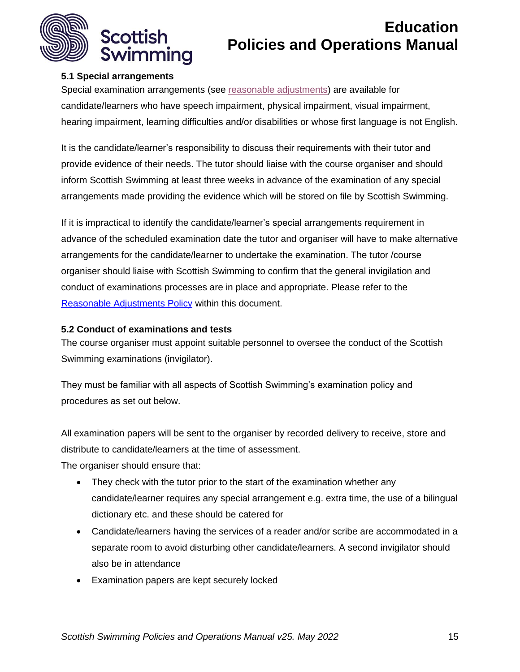

## **5.1 Special arrangements**

Special examination arrangements (see [reasonable adjustments\)](#page-18-0) are available for candidate/learners who have speech impairment, physical impairment, visual impairment, hearing impairment, learning difficulties and/or disabilities or whose first language is not English.

It is the candidate/learner's responsibility to discuss their requirements with their tutor and provide evidence of their needs. The tutor should liaise with the course organiser and should inform Scottish Swimming at least three weeks in advance of the examination of any special arrangements made providing the evidence which will be stored on file by Scottish Swimming.

If it is impractical to identify the candidate/learner's special arrangements requirement in advance of the scheduled examination date the tutor and organiser will have to make alternative arrangements for the candidate/learner to undertake the examination. The tutor /course organiser should liaise with Scottish Swimming to confirm that the general invigilation and conduct of examinations processes are in place and appropriate. Please refer to the [Reasonable Adjustments Policy](#page-18-0) within this document.

## **5.2 Conduct of examinations and tests**

The course organiser must appoint suitable personnel to oversee the conduct of the Scottish Swimming examinations (invigilator).

They must be familiar with all aspects of Scottish Swimming's examination policy and procedures as set out below.

All examination papers will be sent to the organiser by recorded delivery to receive, store and distribute to candidate/learners at the time of assessment.

The organiser should ensure that:

- They check with the tutor prior to the start of the examination whether any candidate/learner requires any special arrangement e.g. extra time, the use of a bilingual dictionary etc. and these should be catered for
- Candidate/learners having the services of a reader and/or scribe are accommodated in a separate room to avoid disturbing other candidate/learners. A second invigilator should also be in attendance
- Examination papers are kept securely locked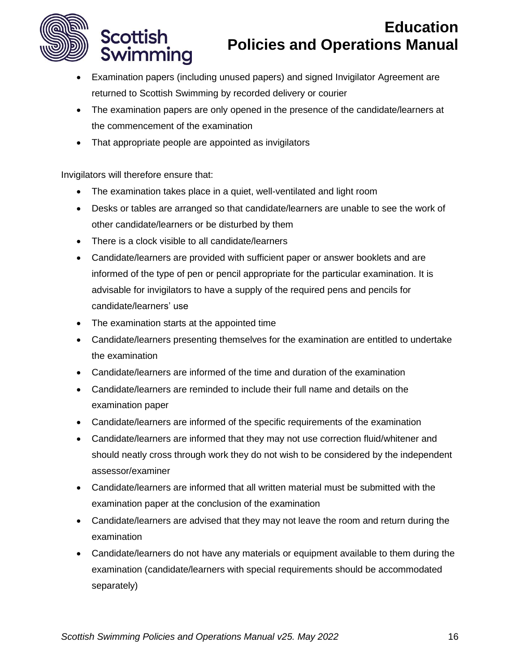

- Examination papers (including unused papers) and signed Invigilator Agreement are returned to Scottish Swimming by recorded delivery or courier
- The examination papers are only opened in the presence of the candidate/learners at the commencement of the examination
- That appropriate people are appointed as invigilators

Invigilators will therefore ensure that:

**Scottish** 

Swimming

- The examination takes place in a quiet, well-ventilated and light room
- Desks or tables are arranged so that candidate/learners are unable to see the work of other candidate/learners or be disturbed by them
- There is a clock visible to all candidate/learners
- Candidate/learners are provided with sufficient paper or answer booklets and are informed of the type of pen or pencil appropriate for the particular examination. It is advisable for invigilators to have a supply of the required pens and pencils for candidate/learners' use
- The examination starts at the appointed time
- Candidate/learners presenting themselves for the examination are entitled to undertake the examination
- Candidate/learners are informed of the time and duration of the examination
- Candidate/learners are reminded to include their full name and details on the examination paper
- Candidate/learners are informed of the specific requirements of the examination
- Candidate/learners are informed that they may not use correction fluid/whitener and should neatly cross through work they do not wish to be considered by the independent assessor/examiner
- Candidate/learners are informed that all written material must be submitted with the examination paper at the conclusion of the examination
- Candidate/learners are advised that they may not leave the room and return during the examination
- Candidate/learners do not have any materials or equipment available to them during the examination (candidate/learners with special requirements should be accommodated separately)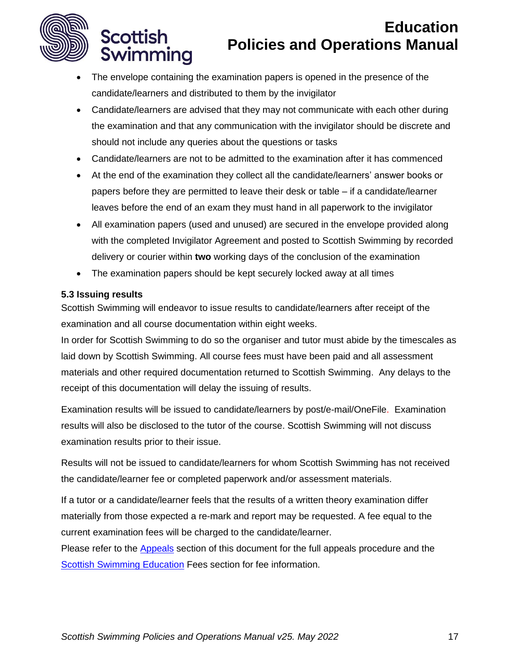

**Scottish** 

Swimming

# **Education Policies and Operations Manual**

- The envelope containing the examination papers is opened in the presence of the candidate/learners and distributed to them by the invigilator
- Candidate/learners are advised that they may not communicate with each other during the examination and that any communication with the invigilator should be discrete and should not include any queries about the questions or tasks
- Candidate/learners are not to be admitted to the examination after it has commenced
- At the end of the examination they collect all the candidate/learners' answer books or papers before they are permitted to leave their desk or table – if a candidate/learner leaves before the end of an exam they must hand in all paperwork to the invigilator
- All examination papers (used and unused) are secured in the envelope provided along with the completed Invigilator Agreement and posted to Scottish Swimming by recorded delivery or courier within **two** working days of the conclusion of the examination
- The examination papers should be kept securely locked away at all times

#### **5.3 Issuing results**

Scottish Swimming will endeavor to issue results to candidate/learners after receipt of the examination and all course documentation within eight weeks.

In order for Scottish Swimming to do so the organiser and tutor must abide by the timescales as laid down by Scottish Swimming. All course fees must have been paid and all assessment materials and other required documentation returned to Scottish Swimming. Any delays to the receipt of this documentation will delay the issuing of results.

Examination results will be issued to candidate/learners by post/e-mail/OneFile. Examination results will also be disclosed to the tutor of the course. Scottish Swimming will not discuss examination results prior to their issue.

Results will not be issued to candidate/learners for whom Scottish Swimming has not received the candidate/learner fee or completed paperwork and/or assessment materials.

If a tutor or a candidate/learner feels that the results of a written theory examination differ materially from those expected a re-mark and report may be requested. A fee equal to the current examination fees will be charged to the candidate/learner.

Please refer to the [Appeals](#page-5-0) section of this document for the full appeals procedure and the [Scottish Swimming Education](#page-50-0) Fees section for fee information.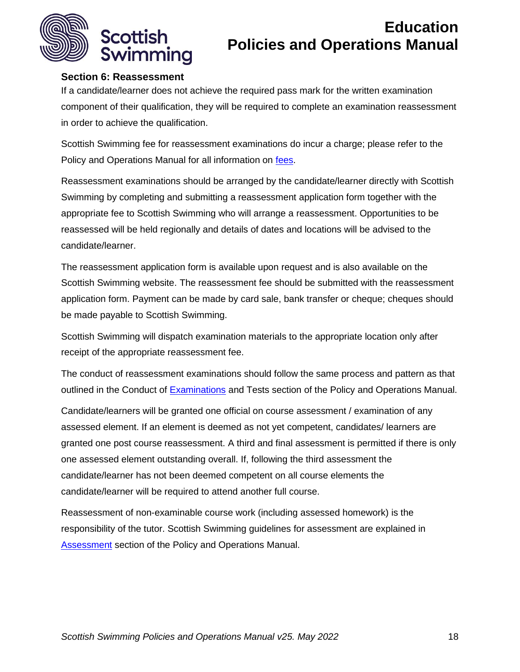

## <span id="page-17-0"></span>**Section 6: Reassessment**

If a candidate/learner does not achieve the required pass mark for the written examination component of their qualification, they will be required to complete an examination reassessment in order to achieve the qualification.

Scottish Swimming fee for reassessment examinations do incur a charge; please refer to the Policy and Operations Manual for all information on [fees.](#page-50-0)

Reassessment examinations should be arranged by the candidate/learner directly with Scottish Swimming by completing and submitting a reassessment application form together with the appropriate fee to Scottish Swimming who will arrange a reassessment. Opportunities to be reassessed will be held regionally and details of dates and locations will be advised to the candidate/learner.

The reassessment application form is available upon request and is also available on the Scottish Swimming website. The reassessment fee should be submitted with the reassessment application form. Payment can be made by card sale, bank transfer or cheque; cheques should be made payable to Scottish Swimming.

Scottish Swimming will dispatch examination materials to the appropriate location only after receipt of the appropriate reassessment fee.

The conduct of reassessment examinations should follow the same process and pattern as that outlined in the Conduct of [Examinations](#page-13-0) and Tests section of the Policy and Operations Manual.

Candidate/learners will be granted one official on course assessment / examination of any assessed element. If an element is deemed as not yet competent, candidates/ learners are granted one post course reassessment. A third and final assessment is permitted if there is only one assessed element outstanding overall. If, following the third assessment the candidate/learner has not been deemed competent on all course elements the candidate/learner will be required to attend another full course.

Reassessment of non-examinable course work (including assessed homework) is the responsibility of the tutor. Scottish Swimming guidelines for assessment are explained in [Assessment](#page-1-2) section of the Policy and Operations Manual.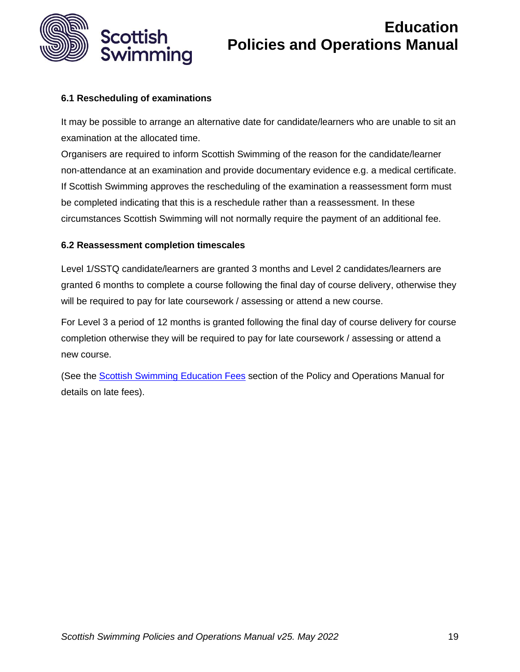

## **6.1 Rescheduling of examinations**

It may be possible to arrange an alternative date for candidate/learners who are unable to sit an examination at the allocated time.

Organisers are required to inform Scottish Swimming of the reason for the candidate/learner non-attendance at an examination and provide documentary evidence e.g. a medical certificate. If Scottish Swimming approves the rescheduling of the examination a reassessment form must be completed indicating that this is a reschedule rather than a reassessment. In these circumstances Scottish Swimming will not normally require the payment of an additional fee.

#### **6.2 Reassessment completion timescales**

Level 1/SSTQ candidate/learners are granted 3 months and Level 2 candidates/learners are granted 6 months to complete a course following the final day of course delivery, otherwise they will be required to pay for late coursework / assessing or attend a new course.

For Level 3 a period of 12 months is granted following the final day of course delivery for course completion otherwise they will be required to pay for late coursework / assessing or attend a new course.

<span id="page-18-0"></span>(See the [Scottish Swimming Education Fees](#page-50-0) section of the Policy and Operations Manual for details on late fees).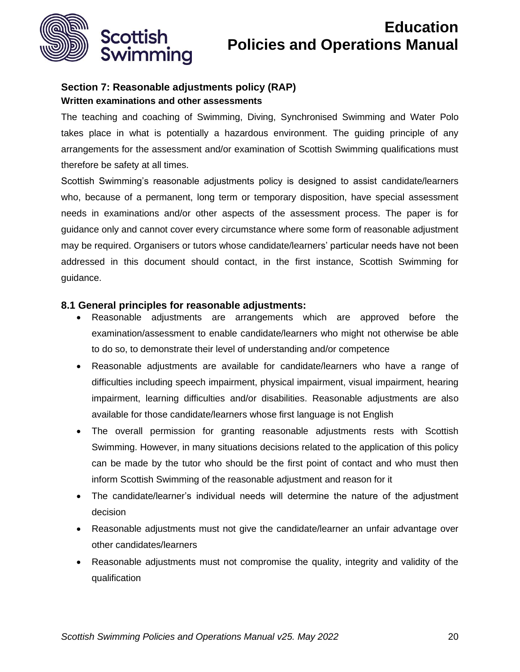

## <span id="page-19-0"></span>**Section 7: Reasonable adjustments policy (RAP) Written examinations and other assessments**

The teaching and coaching of Swimming, Diving, Synchronised Swimming and Water Polo takes place in what is potentially a hazardous environment. The guiding principle of any arrangements for the assessment and/or examination of Scottish Swimming qualifications must therefore be safety at all times.

Scottish Swimming's reasonable adjustments policy is designed to assist candidate/learners who, because of a permanent, long term or temporary disposition, have special assessment needs in examinations and/or other aspects of the assessment process. The paper is for guidance only and cannot cover every circumstance where some form of reasonable adjustment may be required. Organisers or tutors whose candidate/learners' particular needs have not been addressed in this document should contact, in the first instance, Scottish Swimming for guidance.

## **8.1 General principles for reasonable adjustments:**

- Reasonable adjustments are arrangements which are approved before the examination/assessment to enable candidate/learners who might not otherwise be able to do so, to demonstrate their level of understanding and/or competence
- Reasonable adjustments are available for candidate/learners who have a range of difficulties including speech impairment, physical impairment, visual impairment, hearing impairment, learning difficulties and/or disabilities. Reasonable adjustments are also available for those candidate/learners whose first language is not English
- The overall permission for granting reasonable adjustments rests with Scottish Swimming. However, in many situations decisions related to the application of this policy can be made by the tutor who should be the first point of contact and who must then inform Scottish Swimming of the reasonable adjustment and reason for it
- The candidate/learner's individual needs will determine the nature of the adjustment decision
- Reasonable adjustments must not give the candidate/learner an unfair advantage over other candidates/learners
- Reasonable adjustments must not compromise the quality, integrity and validity of the qualification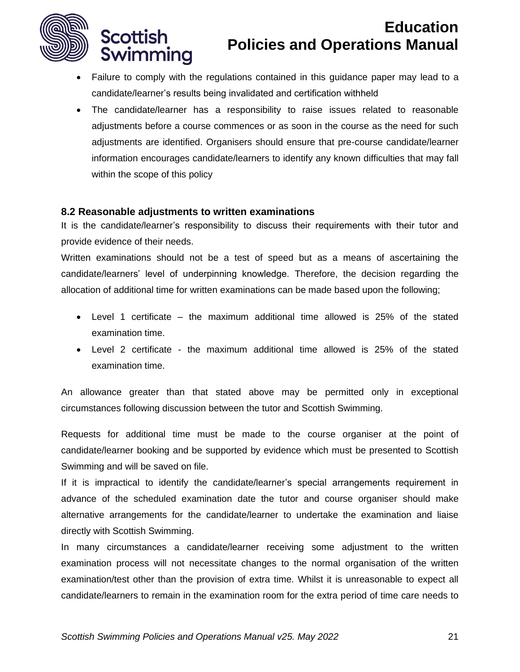

**Scottish** 

Swimming

# **Education Policies and Operations Manual**

- Failure to comply with the regulations contained in this guidance paper may lead to a candidate/learner's results being invalidated and certification withheld
- The candidate/learner has a responsibility to raise issues related to reasonable adjustments before a course commences or as soon in the course as the need for such adjustments are identified. Organisers should ensure that pre-course candidate/learner information encourages candidate/learners to identify any known difficulties that may fall within the scope of this policy

#### **8.2 Reasonable adjustments to written examinations**

It is the candidate/learner's responsibility to discuss their requirements with their tutor and provide evidence of their needs.

Written examinations should not be a test of speed but as a means of ascertaining the candidate/learners' level of underpinning knowledge. Therefore, the decision regarding the allocation of additional time for written examinations can be made based upon the following;

- Level 1 certificate the maximum additional time allowed is 25% of the stated examination time.
- Level 2 certificate the maximum additional time allowed is 25% of the stated examination time.

An allowance greater than that stated above may be permitted only in exceptional circumstances following discussion between the tutor and Scottish Swimming.

Requests for additional time must be made to the course organiser at the point of candidate/learner booking and be supported by evidence which must be presented to Scottish Swimming and will be saved on file.

If it is impractical to identify the candidate/learner's special arrangements requirement in advance of the scheduled examination date the tutor and course organiser should make alternative arrangements for the candidate/learner to undertake the examination and liaise directly with Scottish Swimming.

In many circumstances a candidate/learner receiving some adjustment to the written examination process will not necessitate changes to the normal organisation of the written examination/test other than the provision of extra time. Whilst it is unreasonable to expect all candidate/learners to remain in the examination room for the extra period of time care needs to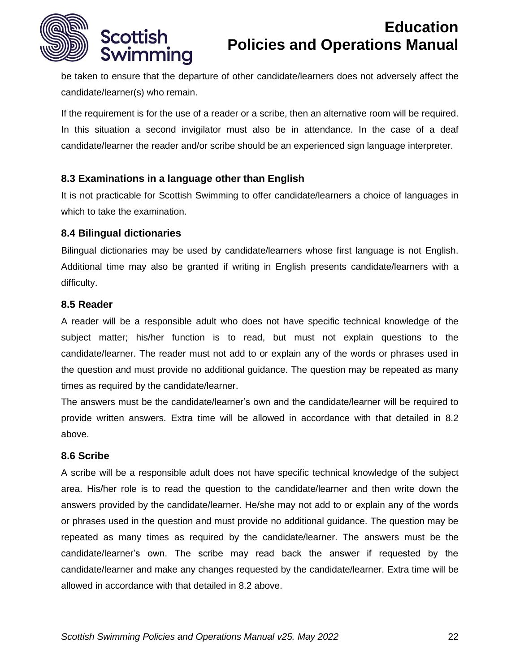

be taken to ensure that the departure of other candidate/learners does not adversely affect the candidate/learner(s) who remain.

If the requirement is for the use of a reader or a scribe, then an alternative room will be required. In this situation a second invigilator must also be in attendance. In the case of a deaf candidate/learner the reader and/or scribe should be an experienced sign language interpreter.

## **8.3 Examinations in a language other than English**

It is not practicable for Scottish Swimming to offer candidate/learners a choice of languages in which to take the examination.

#### **8.4 Bilingual dictionaries**

Bilingual dictionaries may be used by candidate/learners whose first language is not English. Additional time may also be granted if writing in English presents candidate/learners with a difficulty.

#### **8.5 Reader**

A reader will be a responsible adult who does not have specific technical knowledge of the subject matter; his/her function is to read, but must not explain questions to the candidate/learner. The reader must not add to or explain any of the words or phrases used in the question and must provide no additional guidance. The question may be repeated as many times as required by the candidate/learner.

The answers must be the candidate/learner's own and the candidate/learner will be required to provide written answers. Extra time will be allowed in accordance with that detailed in 8.2 above.

## **8.6 Scribe**

A scribe will be a responsible adult does not have specific technical knowledge of the subject area. His/her role is to read the question to the candidate/learner and then write down the answers provided by the candidate/learner. He/she may not add to or explain any of the words or phrases used in the question and must provide no additional guidance. The question may be repeated as many times as required by the candidate/learner. The answers must be the candidate/learner's own. The scribe may read back the answer if requested by the candidate/learner and make any changes requested by the candidate/learner. Extra time will be allowed in accordance with that detailed in 8.2 above.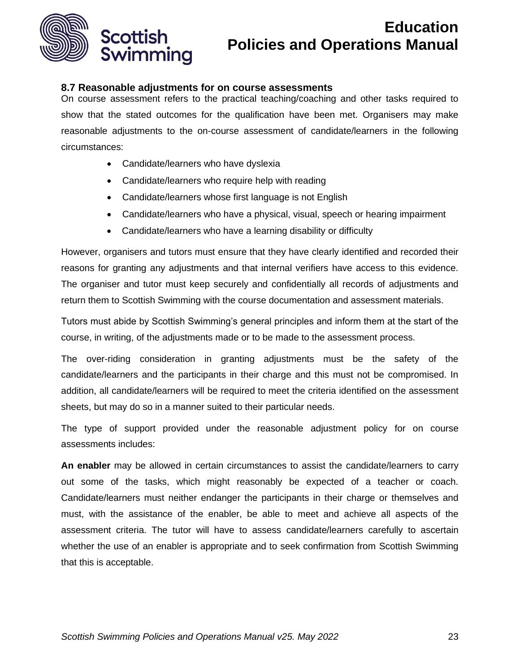

### **8.7 Reasonable adjustments for on course assessments**

On course assessment refers to the practical teaching/coaching and other tasks required to show that the stated outcomes for the qualification have been met. Organisers may make reasonable adjustments to the on-course assessment of candidate/learners in the following circumstances:

- Candidate/learners who have dyslexia
- Candidate/learners who require help with reading
- Candidate/learners whose first language is not English
- Candidate/learners who have a physical, visual, speech or hearing impairment
- Candidate/learners who have a learning disability or difficulty

However, organisers and tutors must ensure that they have clearly identified and recorded their reasons for granting any adjustments and that internal verifiers have access to this evidence. The organiser and tutor must keep securely and confidentially all records of adjustments and return them to Scottish Swimming with the course documentation and assessment materials.

Tutors must abide by Scottish Swimming's general principles and inform them at the start of the course, in writing, of the adjustments made or to be made to the assessment process.

The over-riding consideration in granting adjustments must be the safety of the candidate/learners and the participants in their charge and this must not be compromised. In addition, all candidate/learners will be required to meet the criteria identified on the assessment sheets, but may do so in a manner suited to their particular needs.

The type of support provided under the reasonable adjustment policy for on course assessments includes:

**An enabler** may be allowed in certain circumstances to assist the candidate/learners to carry out some of the tasks, which might reasonably be expected of a teacher or coach. Candidate/learners must neither endanger the participants in their charge or themselves and must, with the assistance of the enabler, be able to meet and achieve all aspects of the assessment criteria. The tutor will have to assess candidate/learners carefully to ascertain whether the use of an enabler is appropriate and to seek confirmation from Scottish Swimming that this is acceptable.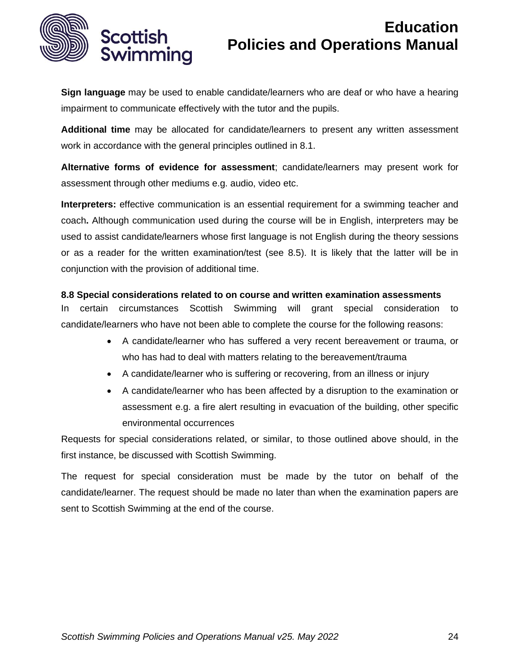

**Sign language** may be used to enable candidate/learners who are deaf or who have a hearing impairment to communicate effectively with the tutor and the pupils.

**Additional time** may be allocated for candidate/learners to present any written assessment work in accordance with the general principles outlined in 8.1.

**Alternative forms of evidence for assessment**; candidate/learners may present work for assessment through other mediums e.g. audio, video etc.

**Interpreters:** effective communication is an essential requirement for a swimming teacher and coach**.** Although communication used during the course will be in English, interpreters may be used to assist candidate/learners whose first language is not English during the theory sessions or as a reader for the written examination/test (see 8.5). It is likely that the latter will be in conjunction with the provision of additional time.

#### **8.8 Special considerations related to on course and written examination assessments**

In certain circumstances Scottish Swimming will grant special consideration to candidate/learners who have not been able to complete the course for the following reasons:

- A candidate/learner who has suffered a very recent bereavement or trauma, or who has had to deal with matters relating to the bereavement/trauma
- A candidate/learner who is suffering or recovering, from an illness or injury
- A candidate/learner who has been affected by a disruption to the examination or assessment e.g. a fire alert resulting in evacuation of the building, other specific environmental occurrences

Requests for special considerations related, or similar, to those outlined above should, in the first instance, be discussed with Scottish Swimming.

The request for special consideration must be made by the tutor on behalf of the candidate/learner. The request should be made no later than when the examination papers are sent to Scottish Swimming at the end of the course.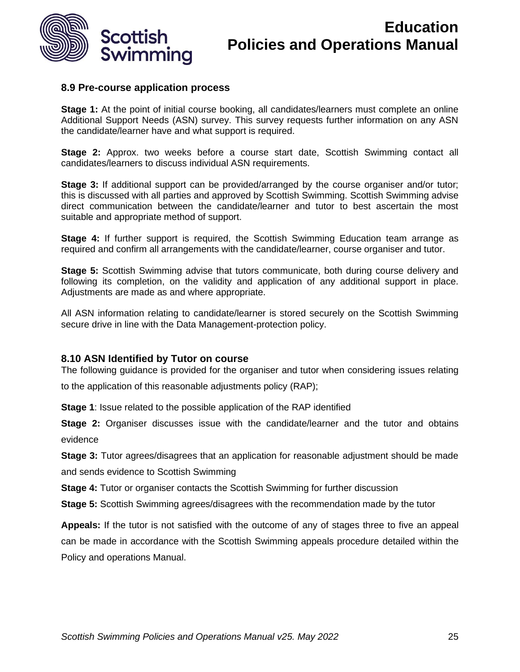

#### **8.9 Pre-course application process**

**Stage 1:** At the point of initial course booking, all candidates/learners must complete an online Additional Support Needs (ASN) survey. This survey requests further information on any ASN the candidate/learner have and what support is required.

**Stage 2:** Approx. two weeks before a course start date, Scottish Swimming contact all candidates/learners to discuss individual ASN requirements.

**Stage 3:** If additional support can be provided/arranged by the course organiser and/or tutor; this is discussed with all parties and approved by Scottish Swimming. Scottish Swimming advise direct communication between the candidate/learner and tutor to best ascertain the most suitable and appropriate method of support.

**Stage 4:** If further support is required, the Scottish Swimming Education team arrange as required and confirm all arrangements with the candidate/learner, course organiser and tutor.

**Stage 5:** Scottish Swimming advise that tutors communicate, both during course delivery and following its completion, on the validity and application of any additional support in place. Adjustments are made as and where appropriate.

All ASN information relating to candidate/learner is stored securely on the Scottish Swimming secure drive in line with the Data Management-protection policy.

#### **8.10 ASN Identified by Tutor on course**

The following guidance is provided for the organiser and tutor when considering issues relating to the application of this reasonable adjustments policy (RAP);

**Stage 1**: Issue related to the possible application of the RAP identified

**Stage 2:** Organiser discusses issue with the candidate/learner and the tutor and obtains evidence

**Stage 3:** Tutor agrees/disagrees that an application for reasonable adjustment should be made and sends evidence to Scottish Swimming

**Stage 4:** Tutor or organiser contacts the Scottish Swimming for further discussion

**Stage 5:** Scottish Swimming agrees/disagrees with the recommendation made by the tutor

**Appeals:** If the tutor is not satisfied with the outcome of any of stages three to five an appeal can be made in accordance with the Scottish Swimming appeals procedure detailed within the Policy and operations Manual.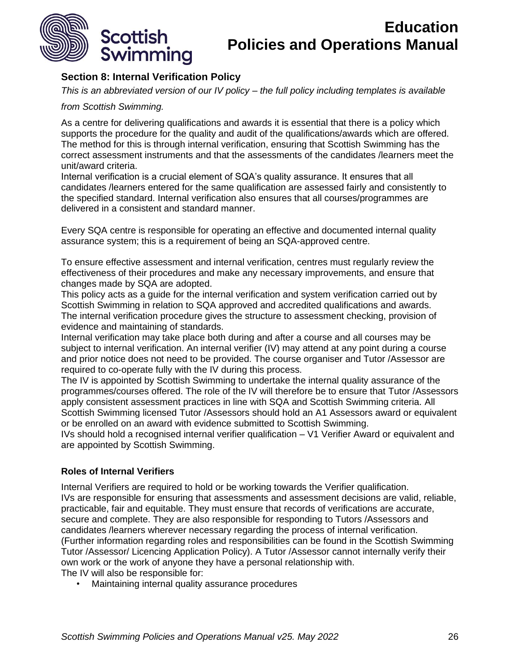

## <span id="page-25-0"></span>**Section 8: Internal Verification Policy**

*This is an abbreviated version of our IV policy – the full policy including templates is available* 

#### *from Scottish Swimming.*

As a centre for delivering qualifications and awards it is essential that there is a policy which supports the procedure for the quality and audit of the qualifications/awards which are offered. The method for this is through internal verification, ensuring that Scottish Swimming has the correct assessment instruments and that the assessments of the candidates /learners meet the unit/award criteria.

Internal verification is a crucial element of SQA's quality assurance. It ensures that all candidates /learners entered for the same qualification are assessed fairly and consistently to the specified standard. Internal verification also ensures that all courses/programmes are delivered in a consistent and standard manner.

Every SQA centre is responsible for operating an effective and documented internal quality assurance system; this is a requirement of being an SQA-approved centre.

To ensure effective assessment and internal verification, centres must regularly review the effectiveness of their procedures and make any necessary improvements, and ensure that changes made by SQA are adopted.

This policy acts as a guide for the internal verification and system verification carried out by Scottish Swimming in relation to SQA approved and accredited qualifications and awards. The internal verification procedure gives the structure to assessment checking, provision of evidence and maintaining of standards.

Internal verification may take place both during and after a course and all courses may be subject to internal verification. An internal verifier (IV) may attend at any point during a course and prior notice does not need to be provided. The course organiser and Tutor /Assessor are required to co-operate fully with the IV during this process.

The IV is appointed by Scottish Swimming to undertake the internal quality assurance of the programmes/courses offered. The role of the IV will therefore be to ensure that Tutor /Assessors apply consistent assessment practices in line with SQA and Scottish Swimming criteria. All Scottish Swimming licensed Tutor /Assessors should hold an A1 Assessors award or equivalent or be enrolled on an award with evidence submitted to Scottish Swimming.

IVs should hold a recognised internal verifier qualification – V1 Verifier Award or equivalent and are appointed by Scottish Swimming.

#### **Roles of Internal Verifiers**

Internal Verifiers are required to hold or be working towards the Verifier qualification. IVs are responsible for ensuring that assessments and assessment decisions are valid, reliable, practicable, fair and equitable. They must ensure that records of verifications are accurate, secure and complete. They are also responsible for responding to Tutors /Assessors and candidates /learners wherever necessary regarding the process of internal verification. (Further information regarding roles and responsibilities can be found in the Scottish Swimming Tutor /Assessor/ Licencing Application Policy). A Tutor /Assessor cannot internally verify their own work or the work of anyone they have a personal relationship with. The IV will also be responsible for:

• Maintaining internal quality assurance procedures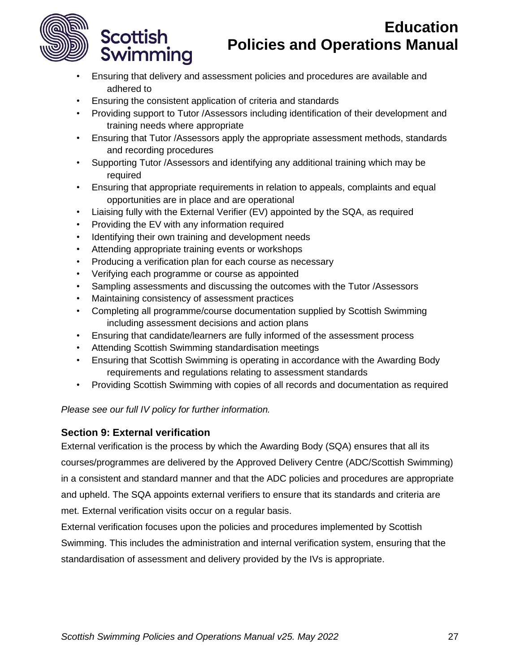

**Scottish** 

Swimming

# **Education Policies and Operations Manual**

- Ensuring that delivery and assessment policies and procedures are available and adhered to
- Ensuring the consistent application of criteria and standards
- Providing support to Tutor /Assessors including identification of their development and training needs where appropriate
- Ensuring that Tutor /Assessors apply the appropriate assessment methods, standards and recording procedures
- Supporting Tutor /Assessors and identifying any additional training which may be required
- Ensuring that appropriate requirements in relation to appeals, complaints and equal opportunities are in place and are operational
- Liaising fully with the External Verifier (EV) appointed by the SQA, as required
- Providing the EV with any information required
- Identifying their own training and development needs
- Attending appropriate training events or workshops
- Producing a verification plan for each course as necessary
- Verifying each programme or course as appointed
- Sampling assessments and discussing the outcomes with the Tutor /Assessors
- Maintaining consistency of assessment practices
- Completing all programme/course documentation supplied by Scottish Swimming including assessment decisions and action plans
- Ensuring that candidate/learners are fully informed of the assessment process
- Attending Scottish Swimming standardisation meetings
- Ensuring that Scottish Swimming is operating in accordance with the Awarding Body requirements and regulations relating to assessment standards
- Providing Scottish Swimming with copies of all records and documentation as required

## *Please see our full IV policy for further information.*

## <span id="page-26-0"></span>**Section 9: External verification**

External verification is the process by which the Awarding Body (SQA) ensures that all its courses/programmes are delivered by the Approved Delivery Centre (ADC/Scottish Swimming) in a consistent and standard manner and that the ADC policies and procedures are appropriate and upheld. The SQA appoints external verifiers to ensure that its standards and criteria are met. External verification visits occur on a regular basis.

External verification focuses upon the policies and procedures implemented by Scottish Swimming. This includes the administration and internal verification system, ensuring that the standardisation of assessment and delivery provided by the IVs is appropriate.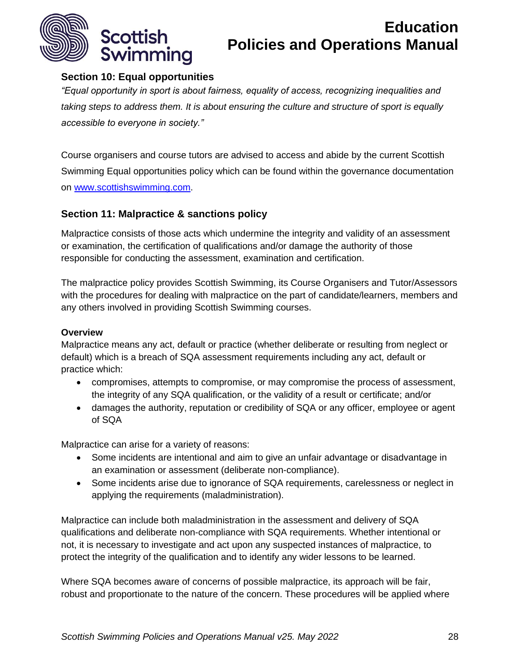

## <span id="page-27-0"></span>**Section 10: Equal opportunities**

*"Equal opportunity in sport is about fairness, equality of access, recognizing inequalities and taking steps to address them. It is about ensuring the culture and structure of sport is equally accessible to everyone in society."*

Course organisers and course tutors are advised to access and abide by the current Scottish Swimming Equal opportunities policy which can be found within the governance documentation on [www.scottishswimming.com.](http://www.scottishswimming.com/)

## <span id="page-27-1"></span>**Section 11: Malpractice & sanctions policy**

Malpractice consists of those acts which undermine the integrity and validity of an assessment or examination, the certification of qualifications and/or damage the authority of those responsible for conducting the assessment, examination and certification.

The malpractice policy provides Scottish Swimming, its Course Organisers and Tutor/Assessors with the procedures for dealing with malpractice on the part of candidate/learners, members and any others involved in providing Scottish Swimming courses.

## **Overview**

Malpractice means any act, default or practice (whether deliberate or resulting from neglect or default) which is a breach of SQA assessment requirements including any act, default or practice which:

- compromises, attempts to compromise, or may compromise the process of assessment, the integrity of any SQA qualification, or the validity of a result or certificate; and/or
- damages the authority, reputation or credibility of SQA or any officer, employee or agent of SQA

Malpractice can arise for a variety of reasons:

- Some incidents are intentional and aim to give an unfair advantage or disadvantage in an examination or assessment (deliberate non-compliance).
- Some incidents arise due to ignorance of SQA requirements, carelessness or neglect in applying the requirements (maladministration).

Malpractice can include both maladministration in the assessment and delivery of SQA qualifications and deliberate non-compliance with SQA requirements. Whether intentional or not, it is necessary to investigate and act upon any suspected instances of malpractice, to protect the integrity of the qualification and to identify any wider lessons to be learned.

Where SQA becomes aware of concerns of possible malpractice, its approach will be fair, robust and proportionate to the nature of the concern. These procedures will be applied where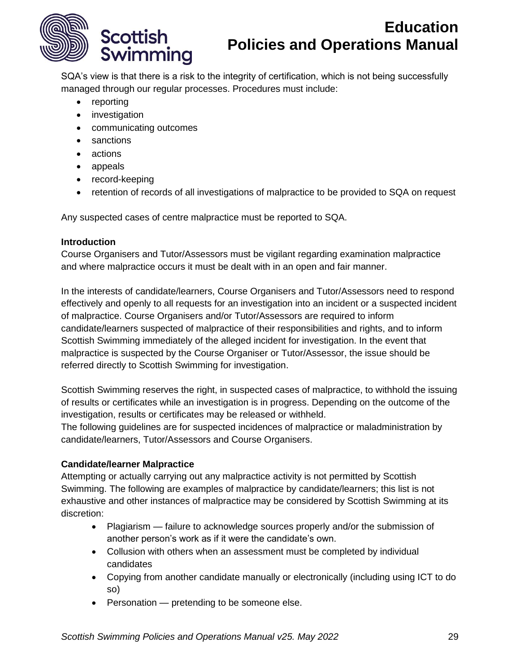

SQA's view is that there is a risk to the integrity of certification, which is not being successfully managed through our regular processes. Procedures must include:

- reporting
- investigation
- communicating outcomes
- sanctions
- actions
- appeals
- record-keeping
- retention of records of all investigations of malpractice to be provided to SQA on request

Any suspected cases of centre malpractice must be reported to SQA.

#### **Introduction**

Course Organisers and Tutor/Assessors must be vigilant regarding examination malpractice and where malpractice occurs it must be dealt with in an open and fair manner.

In the interests of candidate/learners, Course Organisers and Tutor/Assessors need to respond effectively and openly to all requests for an investigation into an incident or a suspected incident of malpractice. Course Organisers and/or Tutor/Assessors are required to inform candidate/learners suspected of malpractice of their responsibilities and rights, and to inform Scottish Swimming immediately of the alleged incident for investigation. In the event that malpractice is suspected by the Course Organiser or Tutor/Assessor, the issue should be referred directly to Scottish Swimming for investigation.

Scottish Swimming reserves the right, in suspected cases of malpractice, to withhold the issuing of results or certificates while an investigation is in progress. Depending on the outcome of the investigation, results or certificates may be released or withheld.

The following guidelines are for suspected incidences of malpractice or maladministration by candidate/learners, Tutor/Assessors and Course Organisers.

## **Candidate/learner Malpractice**

Attempting or actually carrying out any malpractice activity is not permitted by Scottish Swimming. The following are examples of malpractice by candidate/learners; this list is not exhaustive and other instances of malpractice may be considered by Scottish Swimming at its discretion:

- Plagiarism failure to acknowledge sources properly and/or the submission of another person's work as if it were the candidate's own.
- Collusion with others when an assessment must be completed by individual candidates
- Copying from another candidate manually or electronically (including using ICT to do so)
- Personation pretending to be someone else.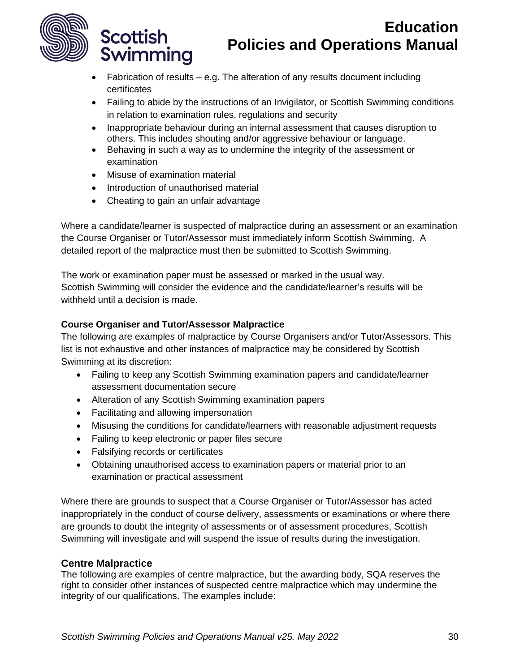

- Fabrication of results e.g. The alteration of any results document including certificates
- Failing to abide by the instructions of an Invigilator, or Scottish Swimming conditions in relation to examination rules, regulations and security
- Inappropriate behaviour during an internal assessment that causes disruption to others. This includes shouting and/or aggressive behaviour or language.
- Behaving in such a way as to undermine the integrity of the assessment or examination
- Misuse of examination material

**Scottish** 

Swimming

- Introduction of unauthorised material
- Cheating to gain an unfair advantage

Where a candidate/learner is suspected of malpractice during an assessment or an examination the Course Organiser or Tutor/Assessor must immediately inform Scottish Swimming. A detailed report of the malpractice must then be submitted to Scottish Swimming.

The work or examination paper must be assessed or marked in the usual way. Scottish Swimming will consider the evidence and the candidate/learner's results will be withheld until a decision is made.

## **Course Organiser and Tutor/Assessor Malpractice**

The following are examples of malpractice by Course Organisers and/or Tutor/Assessors. This list is not exhaustive and other instances of malpractice may be considered by Scottish Swimming at its discretion:

- Failing to keep any Scottish Swimming examination papers and candidate/learner assessment documentation secure
- Alteration of any Scottish Swimming examination papers
- Facilitating and allowing impersonation
- Misusing the conditions for candidate/learners with reasonable adjustment requests
- Failing to keep electronic or paper files secure
- Falsifying records or certificates
- Obtaining unauthorised access to examination papers or material prior to an examination or practical assessment

Where there are grounds to suspect that a Course Organiser or Tutor/Assessor has acted inappropriately in the conduct of course delivery, assessments or examinations or where there are grounds to doubt the integrity of assessments or of assessment procedures, Scottish Swimming will investigate and will suspend the issue of results during the investigation.

## **Centre Malpractice**

The following are examples of centre malpractice, but the awarding body, SQA reserves the right to consider other instances of suspected centre malpractice which may undermine the integrity of our qualifications. The examples include: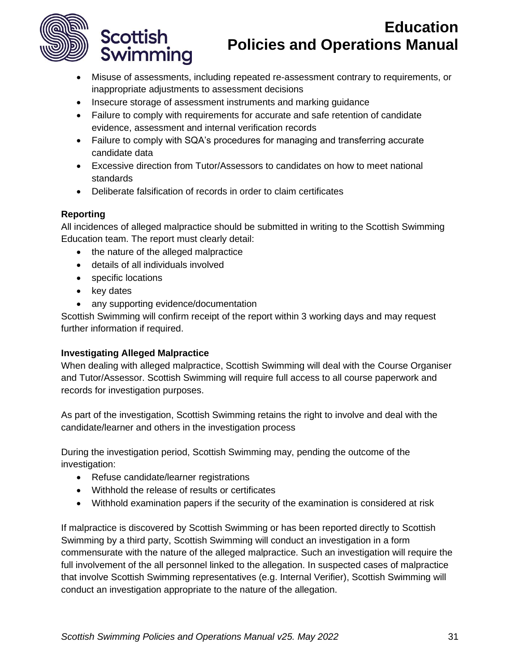

- Misuse of assessments, including repeated re-assessment contrary to requirements, or inappropriate adjustments to assessment decisions
- Insecure storage of assessment instruments and marking guidance
- Failure to comply with requirements for accurate and safe retention of candidate evidence, assessment and internal verification records
- Failure to comply with SQA's procedures for managing and transferring accurate candidate data
- Excessive direction from Tutor/Assessors to candidates on how to meet national standards
- Deliberate falsification of records in order to claim certificates

## **Reporting**

All incidences of alleged malpractice should be submitted in writing to the Scottish Swimming Education team. The report must clearly detail:

- the nature of the alleged malpractice
- details of all individuals involved
- specific locations

**Scottish** 

Swimming

- key dates
- any supporting evidence/documentation

Scottish Swimming will confirm receipt of the report within 3 working days and may request further information if required.

## **Investigating Alleged Malpractice**

When dealing with alleged malpractice, Scottish Swimming will deal with the Course Organiser and Tutor/Assessor. Scottish Swimming will require full access to all course paperwork and records for investigation purposes.

As part of the investigation, Scottish Swimming retains the right to involve and deal with the candidate/learner and others in the investigation process

During the investigation period, Scottish Swimming may, pending the outcome of the investigation:

- Refuse candidate/learner registrations
- Withhold the release of results or certificates
- Withhold examination papers if the security of the examination is considered at risk

If malpractice is discovered by Scottish Swimming or has been reported directly to Scottish Swimming by a third party, Scottish Swimming will conduct an investigation in a form commensurate with the nature of the alleged malpractice. Such an investigation will require the full involvement of the all personnel linked to the allegation. In suspected cases of malpractice that involve Scottish Swimming representatives (e.g. Internal Verifier), Scottish Swimming will conduct an investigation appropriate to the nature of the allegation.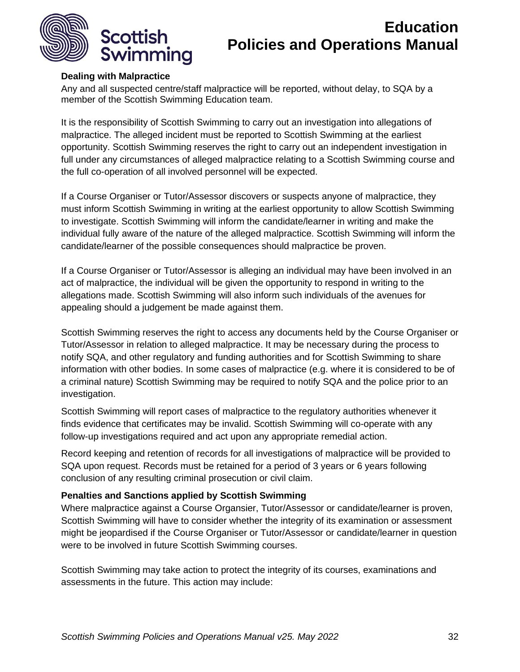

#### **Dealing with Malpractice**

Any and all suspected centre/staff malpractice will be reported, without delay, to SQA by a member of the Scottish Swimming Education team.

It is the responsibility of Scottish Swimming to carry out an investigation into allegations of malpractice. The alleged incident must be reported to Scottish Swimming at the earliest opportunity. Scottish Swimming reserves the right to carry out an independent investigation in full under any circumstances of alleged malpractice relating to a Scottish Swimming course and the full co-operation of all involved personnel will be expected.

If a Course Organiser or Tutor/Assessor discovers or suspects anyone of malpractice, they must inform Scottish Swimming in writing at the earliest opportunity to allow Scottish Swimming to investigate. Scottish Swimming will inform the candidate/learner in writing and make the individual fully aware of the nature of the alleged malpractice. Scottish Swimming will inform the candidate/learner of the possible consequences should malpractice be proven.

If a Course Organiser or Tutor/Assessor is alleging an individual may have been involved in an act of malpractice, the individual will be given the opportunity to respond in writing to the allegations made. Scottish Swimming will also inform such individuals of the avenues for appealing should a judgement be made against them.

Scottish Swimming reserves the right to access any documents held by the Course Organiser or Tutor/Assessor in relation to alleged malpractice. It may be necessary during the process to notify SQA, and other regulatory and funding authorities and for Scottish Swimming to share information with other bodies. In some cases of malpractice (e.g. where it is considered to be of a criminal nature) Scottish Swimming may be required to notify SQA and the police prior to an investigation.

Scottish Swimming will report cases of malpractice to the regulatory authorities whenever it finds evidence that certificates may be invalid. Scottish Swimming will co-operate with any follow-up investigations required and act upon any appropriate remedial action.

Record keeping and retention of records for all investigations of malpractice will be provided to SQA upon request. Records must be retained for a period of 3 years or 6 years following conclusion of any resulting criminal prosecution or civil claim.

#### **Penalties and Sanctions applied by Scottish Swimming**

Where malpractice against a Course Organsier, Tutor/Assessor or candidate/learner is proven, Scottish Swimming will have to consider whether the integrity of its examination or assessment might be jeopardised if the Course Organiser or Tutor/Assessor or candidate/learner in question were to be involved in future Scottish Swimming courses.

Scottish Swimming may take action to protect the integrity of its courses, examinations and assessments in the future. This action may include: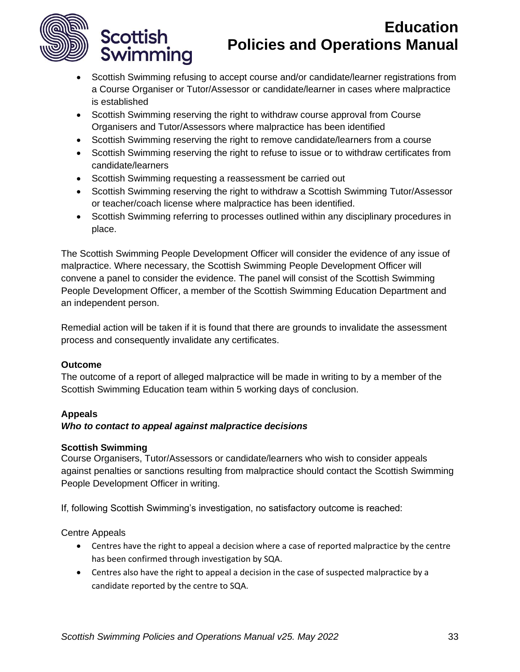

**Scottish** 

Swimming

# **Education Policies and Operations Manual**

- Scottish Swimming refusing to accept course and/or candidate/learner registrations from a Course Organiser or Tutor/Assessor or candidate/learner in cases where malpractice is established
- Scottish Swimming reserving the right to withdraw course approval from Course Organisers and Tutor/Assessors where malpractice has been identified
- Scottish Swimming reserving the right to remove candidate/learners from a course
- Scottish Swimming reserving the right to refuse to issue or to withdraw certificates from candidate/learners
- Scottish Swimming requesting a reassessment be carried out
- Scottish Swimming reserving the right to withdraw a Scottish Swimming Tutor/Assessor or teacher/coach license where malpractice has been identified.
- Scottish Swimming referring to processes outlined within any disciplinary procedures in place.

The Scottish Swimming People Development Officer will consider the evidence of any issue of malpractice. Where necessary, the Scottish Swimming People Development Officer will convene a panel to consider the evidence. The panel will consist of the Scottish Swimming People Development Officer, a member of the Scottish Swimming Education Department and an independent person.

Remedial action will be taken if it is found that there are grounds to invalidate the assessment process and consequently invalidate any certificates.

## **Outcome**

The outcome of a report of alleged malpractice will be made in writing to by a member of the Scottish Swimming Education team within 5 working days of conclusion.

## **Appeals**

#### *Who to contact to appeal against malpractice decisions*

#### **Scottish Swimming**

Course Organisers, Tutor/Assessors or candidate/learners who wish to consider appeals against penalties or sanctions resulting from malpractice should contact the Scottish Swimming People Development Officer in writing.

If, following Scottish Swimming's investigation, no satisfactory outcome is reached:

Centre Appeals

- Centres have the right to appeal a decision where a case of reported malpractice by the centre has been confirmed through investigation by SQA.
- Centres also have the right to appeal a decision in the case of suspected malpractice by a candidate reported by the centre to SQA.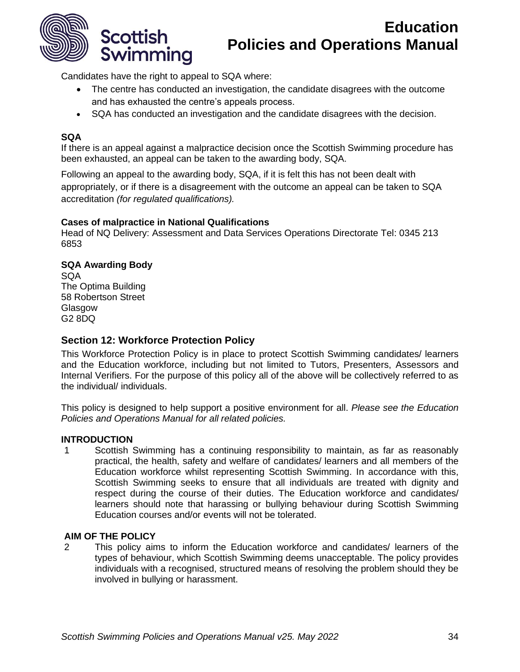

Candidates have the right to appeal to SQA where:

- The centre has conducted an investigation, the candidate disagrees with the outcome and has exhausted the centre's appeals process.
- SQA has conducted an investigation and the candidate disagrees with the decision.

#### **SQA**

If there is an appeal against a malpractice decision once the Scottish Swimming procedure has been exhausted, an appeal can be taken to the awarding body, SQA.

Following an appeal to the awarding body, SQA, if it is felt this has not been dealt with appropriately, or if there is a disagreement with the outcome an appeal can be taken to SQA accreditation *(for regulated qualifications).*

#### **Cases of malpractice in National Qualifications**

Head of NQ Delivery: Assessment and Data Services Operations Directorate Tel: 0345 213 6853

#### **SQA Awarding Body**

SQA The Optima Building 58 Robertson Street Glasgow G2 8DQ

### <span id="page-33-0"></span>**Section 12: Workforce Protection Policy**

This Workforce Protection Policy is in place to protect Scottish Swimming candidates/ learners and the Education workforce, including but not limited to Tutors, Presenters, Assessors and Internal Verifiers. For the purpose of this policy all of the above will be collectively referred to as the individual/ individuals.

This policy is designed to help support a positive environment for all. *Please see the Education Policies and Operations Manual for all related policies.*

#### **INTRODUCTION**

1 Scottish Swimming has a continuing responsibility to maintain, as far as reasonably practical, the health, safety and welfare of candidates/ learners and all members of the Education workforce whilst representing Scottish Swimming. In accordance with this, Scottish Swimming seeks to ensure that all individuals are treated with dignity and respect during the course of their duties. The Education workforce and candidates/ learners should note that harassing or bullying behaviour during Scottish Swimming Education courses and/or events will not be tolerated.

#### **AIM OF THE POLICY**

2 This policy aims to inform the Education workforce and candidates/ learners of the types of behaviour, which Scottish Swimming deems unacceptable. The policy provides individuals with a recognised, structured means of resolving the problem should they be involved in bullying or harassment.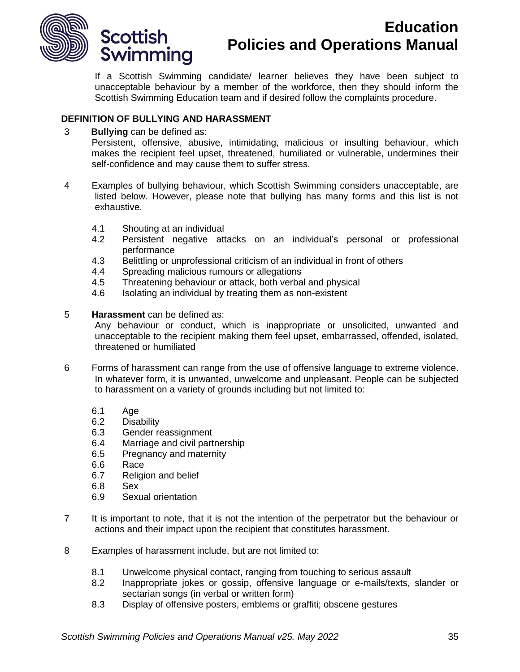

If a Scottish Swimming candidate/ learner believes they have been subject to unacceptable behaviour by a member of the workforce, then they should inform the Scottish Swimming Education team and if desired follow the complaints procedure.

#### **DEFINITION OF BULLYING AND HARASSMENT**

3 **Bullying** can be defined as:

Persistent, offensive, abusive, intimidating, malicious or insulting behaviour, which makes the recipient feel upset, threatened, humiliated or vulnerable, undermines their self-confidence and may cause them to suffer stress.

- 4 Examples of bullying behaviour, which Scottish Swimming considers unacceptable, are listed below. However, please note that bullying has many forms and this list is not exhaustive.
	- 4.1 Shouting at an individual
	- 4.2 Persistent negative attacks on an individual's personal or professional performance
	- 4.3 Belittling or unprofessional criticism of an individual in front of others
	- 4.4 Spreading malicious rumours or allegations
	- 4.5 Threatening behaviour or attack, both verbal and physical
	- 4.6 Isolating an individual by treating them as non-existent
- 5 **Harassment** can be defined as:

Any behaviour or conduct, which is inappropriate or unsolicited, unwanted and unacceptable to the recipient making them feel upset, embarrassed, offended, isolated, threatened or humiliated

- 6 Forms of harassment can range from the use of offensive language to extreme violence. In whatever form, it is unwanted, unwelcome and unpleasant. People can be subjected to harassment on a variety of grounds including but not limited to:
	- 6.1 Age
	- 6.2 Disability
	- 6.3 Gender reassignment
	- 6.4 Marriage and civil partnership
	- 6.5 Pregnancy and maternity
	- 6.6 Race
	- 6.7 Religion and belief
	- 6.8 Sex
	- 6.9 Sexual orientation
- 7 It is important to note, that it is not the intention of the perpetrator but the behaviour or actions and their impact upon the recipient that constitutes harassment.
- 8 Examples of harassment include, but are not limited to:
	- 8.1 Unwelcome physical contact, ranging from touching to serious assault
	- 8.2 Inappropriate jokes or gossip, offensive language or e-mails/texts, slander or sectarian songs (in verbal or written form)
	- 8.3 Display of offensive posters, emblems or graffiti; obscene gestures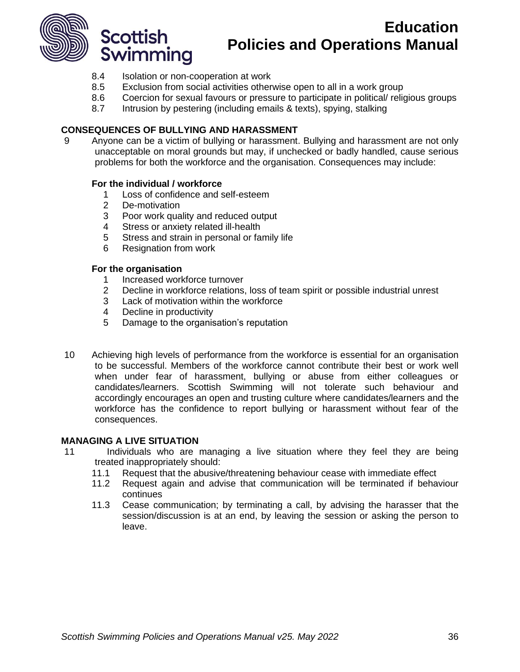

- 8.4 Isolation or non-cooperation at work
- 8.5 Exclusion from social activities otherwise open to all in a work group
- 8.6 Coercion for sexual favours or pressure to participate in political/ religious groups
- 8.7 Intrusion by pestering (including emails & texts), spying, stalking

#### **CONSEQUENCES OF BULLYING AND HARASSMENT**

9 Anyone can be a victim of bullying or harassment. Bullying and harassment are not only unacceptable on moral grounds but may, if unchecked or badly handled, cause serious problems for both the workforce and the organisation. Consequences may include:

#### **For the individual / workforce**

- 1 Loss of confidence and self-esteem
- 2 De-motivation
- 3 Poor work quality and reduced output
- 4 Stress or anxiety related ill-health
- 5 Stress and strain in personal or family life
- 6 Resignation from work

#### **For the organisation**

- 1 Increased workforce turnover
- 2 Decline in workforce relations, loss of team spirit or possible industrial unrest
- 3 Lack of motivation within the workforce
- 4 Decline in productivity
- 5 Damage to the organisation's reputation
- 10 Achieving high levels of performance from the workforce is essential for an organisation to be successful. Members of the workforce cannot contribute their best or work well when under fear of harassment, bullying or abuse from either colleagues or candidates/learners. Scottish Swimming will not tolerate such behaviour and accordingly encourages an open and trusting culture where candidates/learners and the workforce has the confidence to report bullying or harassment without fear of the consequences.

#### **MANAGING A LIVE SITUATION**

- 11 Individuals who are managing a live situation where they feel they are being treated inappropriately should:
	- 11.1 Request that the abusive/threatening behaviour cease with immediate effect
	- 11.2 Request again and advise that communication will be terminated if behaviour continues
	- 11.3 Cease communication; by terminating a call, by advising the harasser that the session/discussion is at an end, by leaving the session or asking the person to leave.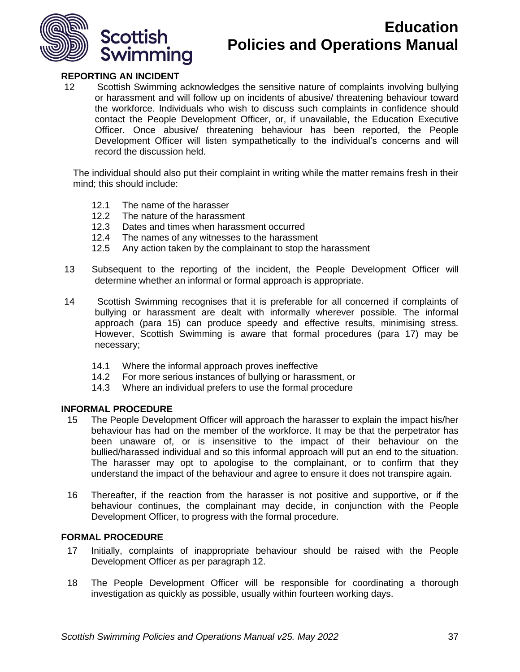

#### **REPORTING AN INCIDENT**

12 Scottish Swimming acknowledges the sensitive nature of complaints involving bullying or harassment and will follow up on incidents of abusive/ threatening behaviour toward the workforce. Individuals who wish to discuss such complaints in confidence should contact the People Development Officer, or, if unavailable, the Education Executive Officer. Once abusive/ threatening behaviour has been reported, the People Development Officer will listen sympathetically to the individual's concerns and will record the discussion held.

The individual should also put their complaint in writing while the matter remains fresh in their mind; this should include:

- 12.1 The name of the harasser
- 12.2 The nature of the harassment
- 12.3 Dates and times when harassment occurred
- 12.4 The names of any witnesses to the harassment
- 12.5 Any action taken by the complainant to stop the harassment
- 13 Subsequent to the reporting of the incident, the People Development Officer will determine whether an informal or formal approach is appropriate.
- 14 Scottish Swimming recognises that it is preferable for all concerned if complaints of bullying or harassment are dealt with informally wherever possible. The informal approach (para 15) can produce speedy and effective results, minimising stress. However, Scottish Swimming is aware that formal procedures (para 17) may be necessary;
	- 14.1 Where the informal approach proves ineffective
	- 14.2 For more serious instances of bullying or harassment, or
	- 14.3 Where an individual prefers to use the formal procedure

#### **INFORMAL PROCEDURE**

- 15 The People Development Officer will approach the harasser to explain the impact his/her behaviour has had on the member of the workforce. It may be that the perpetrator has been unaware of, or is insensitive to the impact of their behaviour on the bullied/harassed individual and so this informal approach will put an end to the situation. The harasser may opt to apologise to the complainant, or to confirm that they understand the impact of the behaviour and agree to ensure it does not transpire again.
- 16 Thereafter, if the reaction from the harasser is not positive and supportive, or if the behaviour continues, the complainant may decide, in conjunction with the People Development Officer, to progress with the formal procedure.

#### **FORMAL PROCEDURE**

- 17 Initially, complaints of inappropriate behaviour should be raised with the People Development Officer as per paragraph 12.
- 18 The People Development Officer will be responsible for coordinating a thorough investigation as quickly as possible, usually within fourteen working days.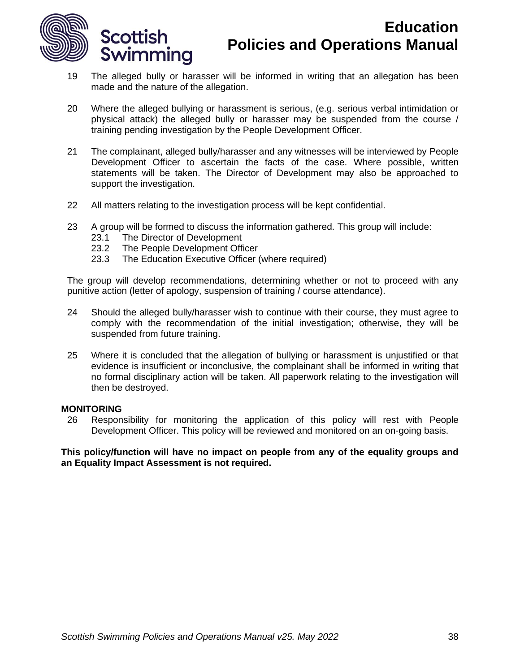

- 19 The alleged bully or harasser will be informed in writing that an allegation has been made and the nature of the allegation.
- 20 Where the alleged bullying or harassment is serious, (e.g. serious verbal intimidation or physical attack) the alleged bully or harasser may be suspended from the course / training pending investigation by the People Development Officer.
- 21 The complainant, alleged bully/harasser and any witnesses will be interviewed by People Development Officer to ascertain the facts of the case. Where possible, written statements will be taken. The Director of Development may also be approached to support the investigation.
- 22 All matters relating to the investigation process will be kept confidential.
- 23 A group will be formed to discuss the information gathered. This group will include:
	- 23.1 The Director of Development
	- 23.2 The People Development Officer
	- 23.3 The Education Executive Officer (where required)

The group will develop recommendations, determining whether or not to proceed with any punitive action (letter of apology, suspension of training / course attendance).

- 24 Should the alleged bully/harasser wish to continue with their course, they must agree to comply with the recommendation of the initial investigation; otherwise, they will be suspended from future training.
- 25 Where it is concluded that the allegation of bullying or harassment is unjustified or that evidence is insufficient or inconclusive, the complainant shall be informed in writing that no formal disciplinary action will be taken. All paperwork relating to the investigation will then be destroyed.

#### **MONITORING**

26 Responsibility for monitoring the application of this policy will rest with People Development Officer. This policy will be reviewed and monitored on an on-going basis.

**This policy/function will have no impact on people from any of the equality groups and an Equality Impact Assessment is not required.**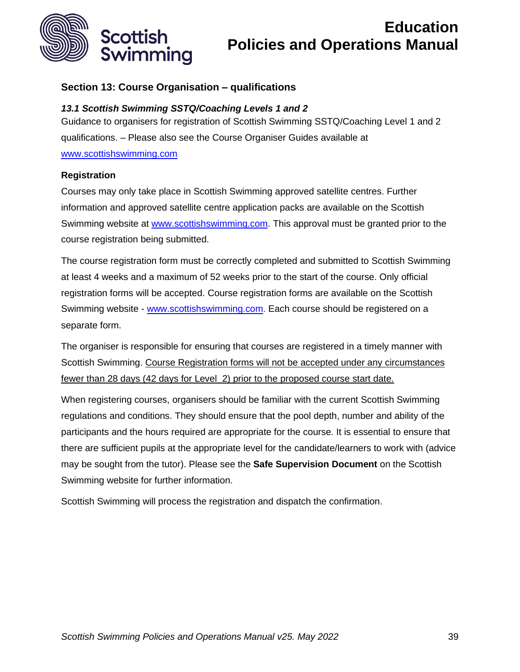

## <span id="page-38-0"></span>**Section 13: Course Organisation – qualifications**

## *13.1 Scottish Swimming SSTQ/Coaching Levels 1 and 2*

Guidance to organisers for registration of Scottish Swimming SSTQ/Coaching Level 1 and 2 qualifications. – Please also see the Course Organiser Guides available at [www.scottishswimming.com](http://www.scottishswimming.com/)

## **Registration**

Courses may only take place in Scottish Swimming approved satellite centres. Further information and approved satellite centre application packs are available on the Scottish Swimming website at [www.scottishswimming.com.](http://www.scottishswimming.com/) This approval must be granted prior to the course registration being submitted.

The course registration form must be correctly completed and submitted to Scottish Swimming at least 4 weeks and a maximum of 52 weeks prior to the start of the course. Only official registration forms will be accepted. Course registration forms are available on the Scottish Swimming website - [www.scottishswimming.com.](http://www.scottishswimming.com/) Each course should be registered on a separate form.

The organiser is responsible for ensuring that courses are registered in a timely manner with Scottish Swimming. Course Registration forms will not be accepted under any circumstances fewer than 28 days (42 days for Level 2) prior to the proposed course start date.

When registering courses, organisers should be familiar with the current Scottish Swimming regulations and conditions. They should ensure that the pool depth, number and ability of the participants and the hours required are appropriate for the course. It is essential to ensure that there are sufficient pupils at the appropriate level for the candidate/learners to work with (advice may be sought from the tutor). Please see the **Safe Supervision Document** on the Scottish Swimming website for further information.

Scottish Swimming will process the registration and dispatch the confirmation.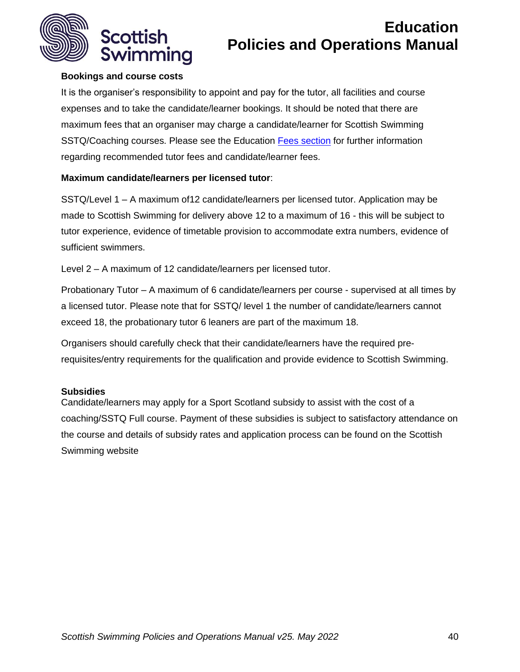

## **Bookings and course costs**

It is the organiser's responsibility to appoint and pay for the tutor, all facilities and course expenses and to take the candidate/learner bookings. It should be noted that there are maximum fees that an organiser may charge a candidate/learner for Scottish Swimming SSTQ/Coaching courses. Please see the Education [Fees section](#page-50-0) for further information regarding recommended tutor fees and candidate/learner fees.

## **Maximum candidate/learners per licensed tutor**:

SSTQ/Level 1 – A maximum of12 candidate/learners per licensed tutor. Application may be made to Scottish Swimming for delivery above 12 to a maximum of 16 - this will be subject to tutor experience, evidence of timetable provision to accommodate extra numbers, evidence of sufficient swimmers.

Level 2 – A maximum of 12 candidate/learners per licensed tutor.

Probationary Tutor – A maximum of 6 candidate/learners per course - supervised at all times by a licensed tutor. Please note that for SSTQ/ level 1 the number of candidate/learners cannot exceed 18, the probationary tutor 6 leaners are part of the maximum 18.

Organisers should carefully check that their candidate/learners have the required prerequisites/entry requirements for the qualification and provide evidence to Scottish Swimming.

#### **Subsidies**

Candidate/learners may apply for a Sport Scotland subsidy to assist with the cost of a coaching/SSTQ Full course. Payment of these subsidies is subject to satisfactory attendance on the course and details of subsidy rates and application process can be found on the Scottish Swimming website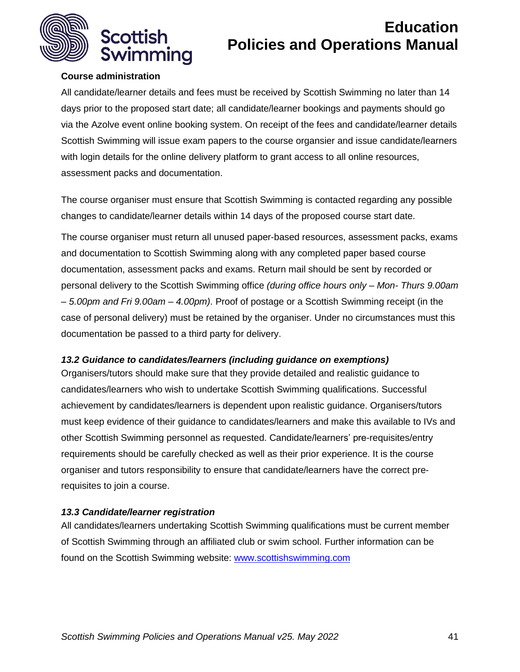

## **Course administration**

All candidate/learner details and fees must be received by Scottish Swimming no later than 14 days prior to the proposed start date; all candidate/learner bookings and payments should go via the Azolve event online booking system. On receipt of the fees and candidate/learner details Scottish Swimming will issue exam papers to the course organsier and issue candidate/learners with login details for the online delivery platform to grant access to all online resources, assessment packs and documentation.

The course organiser must ensure that Scottish Swimming is contacted regarding any possible changes to candidate/learner details within 14 days of the proposed course start date.

The course organiser must return all unused paper-based resources, assessment packs, exams and documentation to Scottish Swimming along with any completed paper based course documentation, assessment packs and exams. Return mail should be sent by recorded or personal delivery to the Scottish Swimming office *(during office hours only – Mon- Thurs 9.00am – 5.00pm and Fri 9.00am – 4.00pm)*. Proof of postage or a Scottish Swimming receipt (in the case of personal delivery) must be retained by the organiser. Under no circumstances must this documentation be passed to a third party for delivery.

#### *13.2 Guidance to candidates/learners (including guidance on exemptions)*

Organisers/tutors should make sure that they provide detailed and realistic guidance to candidates/learners who wish to undertake Scottish Swimming qualifications. Successful achievement by candidates/learners is dependent upon realistic guidance. Organisers/tutors must keep evidence of their guidance to candidates/learners and make this available to IVs and other Scottish Swimming personnel as requested. Candidate/learners' pre-requisites/entry requirements should be carefully checked as well as their prior experience. It is the course organiser and tutors responsibility to ensure that candidate/learners have the correct prerequisites to join a course.

## *13.3 Candidate/learner registration*

All candidates/learners undertaking Scottish Swimming qualifications must be current member of Scottish Swimming through an affiliated club or swim school. Further information can be found on the Scottish Swimming website: [www.scottishswimming.com](http://www.scottishswimming.com/)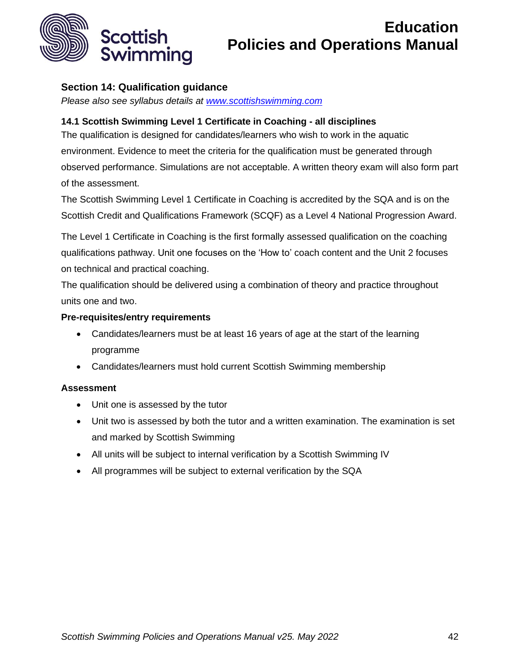

## <span id="page-41-0"></span>**Section 14: Qualification guidance**

*Please also see syllabus details at [www.scottishswimming.com](http://www.scottishswimming.com/)*

## **14.1 Scottish Swimming Level 1 Certificate in Coaching - all disciplines**

The qualification is designed for candidates/learners who wish to work in the aquatic environment. Evidence to meet the criteria for the qualification must be generated through observed performance. Simulations are not acceptable. A written theory exam will also form part of the assessment.

The Scottish Swimming Level 1 Certificate in Coaching is accredited by the SQA and is on the Scottish Credit and Qualifications Framework (SCQF) as a Level 4 National Progression Award.

The Level 1 Certificate in Coaching is the first formally assessed qualification on the coaching qualifications pathway. Unit one focuses on the 'How to' coach content and the Unit 2 focuses on technical and practical coaching.

The qualification should be delivered using a combination of theory and practice throughout units one and two.

#### **Pre-requisites/entry requirements**

- Candidates/learners must be at least 16 years of age at the start of the learning programme
- Candidates/learners must hold current Scottish Swimming membership

## **Assessment**

- Unit one is assessed by the tutor
- Unit two is assessed by both the tutor and a written examination. The examination is set and marked by Scottish Swimming
- All units will be subject to internal verification by a Scottish Swimming IV
- All programmes will be subject to external verification by the SQA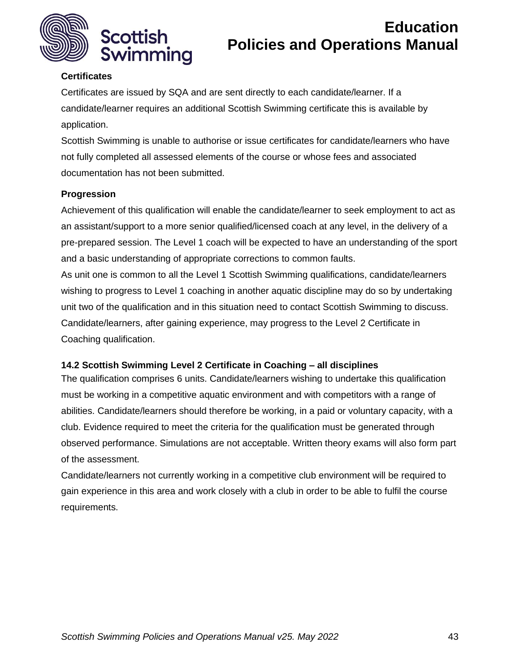

## **Certificates**

Certificates are issued by SQA and are sent directly to each candidate/learner. If a candidate/learner requires an additional Scottish Swimming certificate this is available by application.

Scottish Swimming is unable to authorise or issue certificates for candidate/learners who have not fully completed all assessed elements of the course or whose fees and associated documentation has not been submitted.

## **Progression**

Achievement of this qualification will enable the candidate/learner to seek employment to act as an assistant/support to a more senior qualified/licensed coach at any level, in the delivery of a pre-prepared session. The Level 1 coach will be expected to have an understanding of the sport and a basic understanding of appropriate corrections to common faults.

As unit one is common to all the Level 1 Scottish Swimming qualifications, candidate/learners wishing to progress to Level 1 coaching in another aquatic discipline may do so by undertaking unit two of the qualification and in this situation need to contact Scottish Swimming to discuss. Candidate/learners, after gaining experience, may progress to the Level 2 Certificate in Coaching qualification.

#### **14.2 Scottish Swimming Level 2 Certificate in Coaching – all disciplines**

The qualification comprises 6 units. Candidate/learners wishing to undertake this qualification must be working in a competitive aquatic environment and with competitors with a range of abilities. Candidate/learners should therefore be working, in a paid or voluntary capacity, with a club. Evidence required to meet the criteria for the qualification must be generated through observed performance. Simulations are not acceptable. Written theory exams will also form part of the assessment.

Candidate/learners not currently working in a competitive club environment will be required to gain experience in this area and work closely with a club in order to be able to fulfil the course requirements.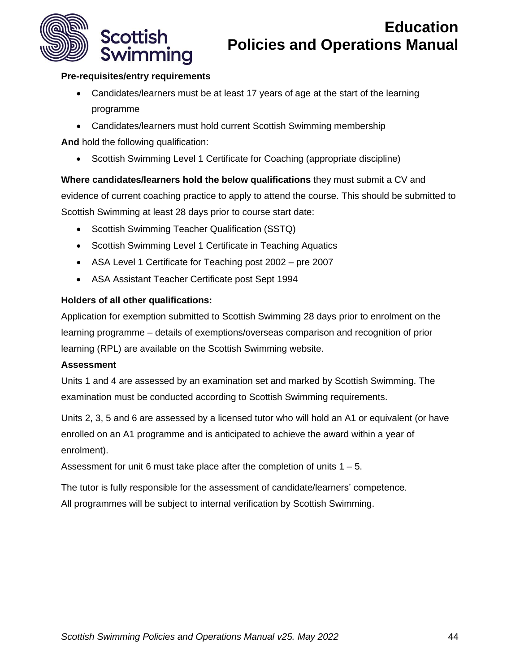

## **Pre-requisites/entry requirements**

- Candidates/learners must be at least 17 years of age at the start of the learning programme
- Candidates/learners must hold current Scottish Swimming membership

**And** hold the following qualification:

• Scottish Swimming Level 1 Certificate for Coaching (appropriate discipline)

**Where candidates/learners hold the below qualifications** they must submit a CV and evidence of current coaching practice to apply to attend the course. This should be submitted to Scottish Swimming at least 28 days prior to course start date:

- Scottish Swimming Teacher Qualification (SSTQ)
- Scottish Swimming Level 1 Certificate in Teaching Aquatics
- ASA Level 1 Certificate for Teaching post 2002 pre 2007
- ASA Assistant Teacher Certificate post Sept 1994

## **Holders of all other qualifications:**

Application for exemption submitted to Scottish Swimming 28 days prior to enrolment on the learning programme – details of exemptions/overseas comparison and recognition of prior learning (RPL) are available on the Scottish Swimming website.

#### **Assessment**

Units 1 and 4 are assessed by an examination set and marked by Scottish Swimming. The examination must be conducted according to Scottish Swimming requirements.

Units 2, 3, 5 and 6 are assessed by a licensed tutor who will hold an A1 or equivalent (or have enrolled on an A1 programme and is anticipated to achieve the award within a year of enrolment).

Assessment for unit 6 must take place after the completion of units  $1 - 5$ .

The tutor is fully responsible for the assessment of candidate/learners' competence. All programmes will be subject to internal verification by Scottish Swimming.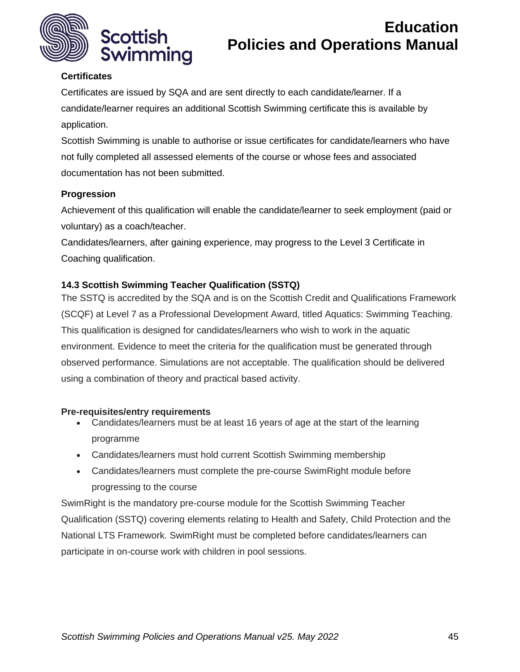

## **Certificates**

Certificates are issued by SQA and are sent directly to each candidate/learner. If a candidate/learner requires an additional Scottish Swimming certificate this is available by application.

Scottish Swimming is unable to authorise or issue certificates for candidate/learners who have not fully completed all assessed elements of the course or whose fees and associated documentation has not been submitted.

## **Progression**

Achievement of this qualification will enable the candidate/learner to seek employment (paid or voluntary) as a coach/teacher.

Candidates/learners, after gaining experience, may progress to the Level 3 Certificate in Coaching qualification.

## **14.3 Scottish Swimming Teacher Qualification (SSTQ)**

The SSTQ is accredited by the SQA and is on the Scottish Credit and Qualifications Framework (SCQF) at Level 7 as a Professional Development Award, titled Aquatics: Swimming Teaching. This qualification is designed for candidates/learners who wish to work in the aquatic environment. Evidence to meet the criteria for the qualification must be generated through observed performance. Simulations are not acceptable. The qualification should be delivered using a combination of theory and practical based activity.

## **Pre-requisites/entry requirements**

- Candidates/learners must be at least 16 years of age at the start of the learning programme
- Candidates/learners must hold current Scottish Swimming membership
- Candidates/learners must complete the pre-course SwimRight module before progressing to the course

SwimRight is the mandatory pre-course module for the Scottish Swimming Teacher Qualification (SSTQ) covering elements relating to Health and Safety, Child Protection and the National LTS Framework. SwimRight must be completed before candidates/learners can participate in on-course work with children in pool sessions.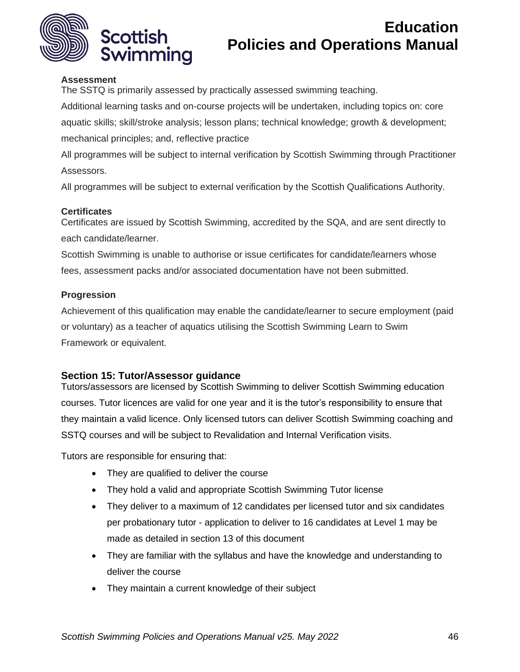

#### **Assessment**

The SSTQ is primarily assessed by practically assessed swimming teaching.

Additional learning tasks and on-course projects will be undertaken, including topics on: core aquatic skills; skill/stroke analysis; lesson plans; technical knowledge; growth & development; mechanical principles; and, reflective practice

All programmes will be subject to internal verification by Scottish Swimming through Practitioner Assessors.

All programmes will be subject to external verification by the Scottish Qualifications Authority.

#### **Certificates**

Certificates are issued by Scottish Swimming, accredited by the SQA, and are sent directly to each candidate/learner.

Scottish Swimming is unable to authorise or issue certificates for candidate/learners whose fees, assessment packs and/or associated documentation have not been submitted.

#### **Progression**

Achievement of this qualification may enable the candidate/learner to secure employment (paid or voluntary) as a teacher of aquatics utilising the Scottish Swimming Learn to Swim Framework or equivalent.

## <span id="page-45-0"></span>**Section 15: Tutor/Assessor guidance**

Tutors/assessors are licensed by Scottish Swimming to deliver Scottish Swimming education courses. Tutor licences are valid for one year and it is the tutor's responsibility to ensure that they maintain a valid licence. Only licensed tutors can deliver Scottish Swimming coaching and SSTQ courses and will be subject to Revalidation and Internal Verification visits.

Tutors are responsible for ensuring that:

- They are qualified to deliver the course
- They hold a valid and appropriate Scottish Swimming Tutor license
- They deliver to a maximum of 12 candidates per licensed tutor and six candidates per probationary tutor - application to deliver to 16 candidates at Level 1 may be made as detailed in section 13 of this document
- They are familiar with the syllabus and have the knowledge and understanding to deliver the course
- They maintain a current knowledge of their subject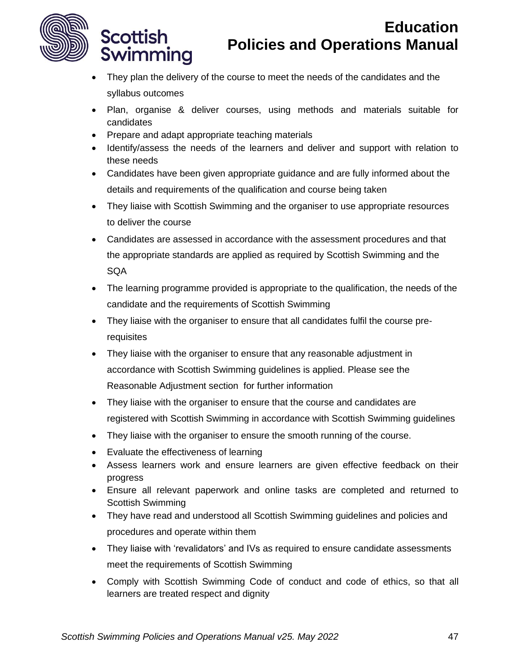

**Scottish** 

Swimming

# **Education Policies and Operations Manual**

- They plan the delivery of the course to meet the needs of the candidates and the syllabus outcomes
- Plan, organise & deliver courses, using methods and materials suitable for candidates
- Prepare and adapt appropriate teaching materials
- Identify/assess the needs of the learners and deliver and support with relation to these needs
- Candidates have been given appropriate guidance and are fully informed about the details and requirements of the qualification and course being taken
- They liaise with Scottish Swimming and the organiser to use appropriate resources to deliver the course
- Candidates are assessed in accordance with the assessment procedures and that the appropriate standards are applied as required by Scottish Swimming and the **SQA**
- The learning programme provided is appropriate to the qualification, the needs of the candidate and the requirements of Scottish Swimming
- They liaise with the organiser to ensure that all candidates fulfil the course prerequisites
- They liaise with the organiser to ensure that any reasonable adjustment in accordance with Scottish Swimming guidelines is applied. Please see the Reasonable Adjustment section for further information
- They liaise with the organiser to ensure that the course and candidates are registered with Scottish Swimming in accordance with Scottish Swimming guidelines
- They liaise with the organiser to ensure the smooth running of the course.
- Evaluate the effectiveness of learning
- Assess learners work and ensure learners are given effective feedback on their progress
- Ensure all relevant paperwork and online tasks are completed and returned to Scottish Swimming
- They have read and understood all Scottish Swimming guidelines and policies and procedures and operate within them
- They liaise with 'revalidators' and IVs as required to ensure candidate assessments meet the requirements of Scottish Swimming
- Comply with Scottish Swimming Code of conduct and code of ethics, so that all learners are treated respect and dignity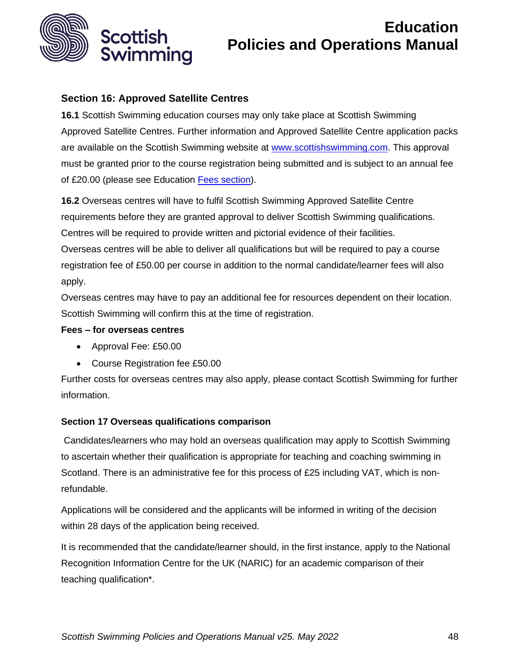

## <span id="page-47-0"></span>**Section 16: Approved Satellite Centres**

**16.1** Scottish Swimming education courses may only take place at Scottish Swimming Approved Satellite Centres. Further information and Approved Satellite Centre application packs are available on the Scottish Swimming website at [www.scottishswimming.com.](http://www.scottishswimming.com/) This approval must be granted prior to the course registration being submitted and is subject to an annual fee of £20.00 (please see Education [Fees section\)](#page-50-0).

**16.2** Overseas centres will have to fulfil Scottish Swimming Approved Satellite Centre requirements before they are granted approval to deliver Scottish Swimming qualifications. Centres will be required to provide written and pictorial evidence of their facilities. Overseas centres will be able to deliver all qualifications but will be required to pay a course

registration fee of £50.00 per course in addition to the normal candidate/learner fees will also apply.

Overseas centres may have to pay an additional fee for resources dependent on their location. Scottish Swimming will confirm this at the time of registration.

#### **Fees – for overseas centres**

- Approval Fee: £50.00
- Course Registration fee £50.00

Further costs for overseas centres may also apply, please contact Scottish Swimming for further information.

## <span id="page-47-1"></span>**Section 17 Overseas qualifications comparison**

Candidates/learners who may hold an overseas qualification may apply to Scottish Swimming to ascertain whether their qualification is appropriate for teaching and coaching swimming in Scotland. There is an administrative fee for this process of £25 including VAT, which is nonrefundable.

Applications will be considered and the applicants will be informed in writing of the decision within 28 days of the application being received.

It is recommended that the candidate/learner should, in the first instance, apply to the National Recognition Information Centre for the UK (NARIC) for an academic comparison of their teaching qualification\*.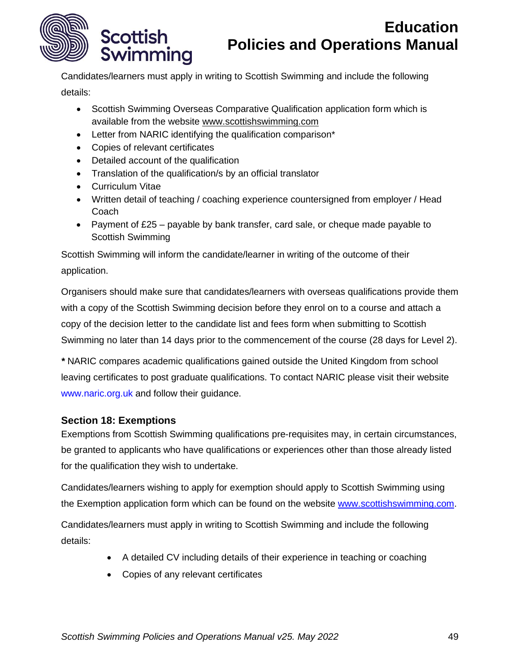

Candidates/learners must apply in writing to Scottish Swimming and include the following details:

- Scottish Swimming Overseas Comparative Qualification application form which is available from the website [www.scottishswimming.com](http://www.scottishswimming.com/)
- Letter from NARIC identifying the qualification comparison\*
- Copies of relevant certificates
- Detailed account of the qualification
- Translation of the qualification/s by an official translator
- Curriculum Vitae
- Written detail of teaching / coaching experience countersigned from employer / Head **Coach**
- Payment of  $£25 -$  payable by bank transfer, card sale, or cheque made payable to Scottish Swimming

Scottish Swimming will inform the candidate/learner in writing of the outcome of their application.

Organisers should make sure that candidates/learners with overseas qualifications provide them with a copy of the Scottish Swimming decision before they enrol on to a course and attach a copy of the decision letter to the candidate list and fees form when submitting to Scottish Swimming no later than 14 days prior to the commencement of the course (28 days for Level 2).

*\** NARIC compares academic qualifications gained outside the United Kingdom from school leaving certificates to post graduate qualifications. To contact NARIC please visit their website www.naric.org.uk and follow their guidance.

## <span id="page-48-0"></span>**Section 18: Exemptions**

Exemptions from Scottish Swimming qualifications pre-requisites may, in certain circumstances, be granted to applicants who have qualifications or experiences other than those already listed for the qualification they wish to undertake.

Candidates/learners wishing to apply for exemption should apply to Scottish Swimming using the Exemption application form which can be found on the website [www.scottishswimming.com.](http://www.scottishswimming.com/)

Candidates/learners must apply in writing to Scottish Swimming and include the following details:

- A detailed CV including details of their experience in teaching or coaching
- Copies of any relevant certificates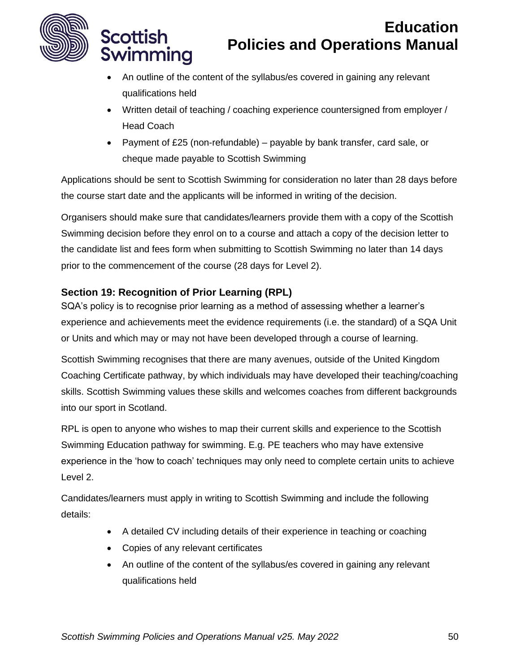

**Scottish** 

Swimming

# **Education Policies and Operations Manual**

- An outline of the content of the syllabus/es covered in gaining any relevant qualifications held
- Written detail of teaching / coaching experience countersigned from employer / Head Coach
- Payment of £25 (non-refundable) payable by bank transfer, card sale, or cheque made payable to Scottish Swimming

Applications should be sent to Scottish Swimming for consideration no later than 28 days before the course start date and the applicants will be informed in writing of the decision.

Organisers should make sure that candidates/learners provide them with a copy of the Scottish Swimming decision before they enrol on to a course and attach a copy of the decision letter to the candidate list and fees form when submitting to Scottish Swimming no later than 14 days prior to the commencement of the course (28 days for Level 2).

## <span id="page-49-0"></span>**Section 19: Recognition of Prior Learning (RPL)**

SQA's policy is to recognise prior learning as a method of assessing whether a learner's experience and achievements meet the evidence requirements (i.e. the standard) of a SQA Unit or Units and which may or may not have been developed through a course of learning.

Scottish Swimming recognises that there are many avenues, outside of the United Kingdom Coaching Certificate pathway, by which individuals may have developed their teaching/coaching skills. Scottish Swimming values these skills and welcomes coaches from different backgrounds into our sport in Scotland.

RPL is open to anyone who wishes to map their current skills and experience to the Scottish Swimming Education pathway for swimming. E.g. PE teachers who may have extensive experience in the 'how to coach' techniques may only need to complete certain units to achieve Level 2.

Candidates/learners must apply in writing to Scottish Swimming and include the following details:

- A detailed CV including details of their experience in teaching or coaching
- Copies of any relevant certificates
- An outline of the content of the syllabus/es covered in gaining any relevant qualifications held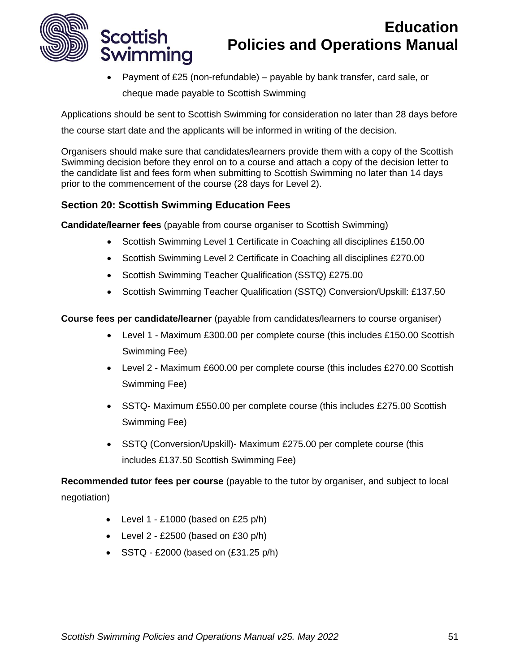

Scottish

Swimming

# **Education Policies and Operations Manual**

• Payment of £25 (non-refundable) – payable by bank transfer, card sale, or cheque made payable to Scottish Swimming

Applications should be sent to Scottish Swimming for consideration no later than 28 days before

the course start date and the applicants will be informed in writing of the decision.

Organisers should make sure that candidates/learners provide them with a copy of the Scottish Swimming decision before they enrol on to a course and attach a copy of the decision letter to the candidate list and fees form when submitting to Scottish Swimming no later than 14 days prior to the commencement of the course (28 days for Level 2).

## <span id="page-50-0"></span>**Section 20: Scottish Swimming Education Fees**

**Candidate/learner fees** (payable from course organiser to Scottish Swimming)

- Scottish Swimming Level 1 Certificate in Coaching all disciplines £150.00
- Scottish Swimming Level 2 Certificate in Coaching all disciplines £270.00
- Scottish Swimming Teacher Qualification (SSTQ) £275.00
- Scottish Swimming Teacher Qualification (SSTQ) Conversion/Upskill: £137.50

**Course fees per candidate/learner** (payable from candidates/learners to course organiser)

- Level 1 Maximum £300.00 per complete course (this includes £150.00 Scottish Swimming Fee)
- Level 2 Maximum £600.00 per complete course (this includes £270.00 Scottish Swimming Fee)
- SSTQ- Maximum £550.00 per complete course (this includes £275.00 Scottish Swimming Fee)
- SSTQ (Conversion/Upskill)- Maximum £275.00 per complete course (this includes £137.50 Scottish Swimming Fee)

**Recommended tutor fees per course** (payable to the tutor by organiser, and subject to local negotiation)

- Level  $1 £1000$  (based on £25 p/h)
- Level  $2 £2500$  (based on  $£30$  p/h)
- $SSTQ E2000$  (based on  $(E31.25 \text{ p/h})$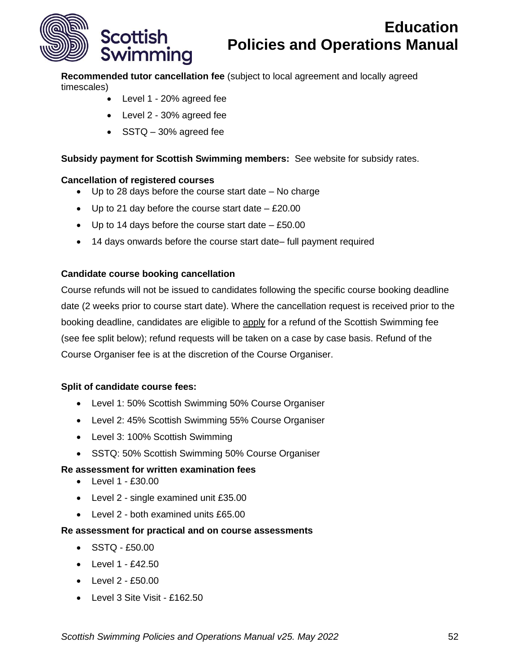

**Recommended tutor cancellation fee** (subject to local agreement and locally agreed timescales)

- Level 1 20% agreed fee
- Level 2 30% agreed fee
- SSTQ 30% agreed fee

#### **Subsidy payment for Scottish Swimming members:** See website for subsidy rates.

#### **Cancellation of registered courses**

- Up to 28 days before the course start date No charge
- Up to 21 day before the course start date  $-$  £20.00
- Up to 14 days before the course start date  $-$  £50.00
- 14 days onwards before the course start date– full payment required

#### **Candidate course booking cancellation**

Course refunds will not be issued to candidates following the specific course booking deadline date (2 weeks prior to course start date). Where the cancellation request is received prior to the booking deadline, candidates are eligible to apply for a refund of the Scottish Swimming fee (see fee split below); refund requests will be taken on a case by case basis. Refund of the Course Organiser fee is at the discretion of the Course Organiser.

#### **Split of candidate course fees:**

- Level 1: 50% Scottish Swimming 50% Course Organiser
- Level 2: 45% Scottish Swimming 55% Course Organiser
- Level 3: 100% Scottish Swimming
- SSTQ: 50% Scottish Swimming 50% Course Organiser

#### **Re assessment for written examination fees**

- Level 1 £30.00
- Level 2 single examined unit £35.00
- Level 2 both examined units £65.00

#### **Re assessment for practical and on course assessments**

- SSTQ £50.00
- $\bullet$  Level 1 £42.50
- Level 2 £50.00
- Level 3 Site Visit £162.50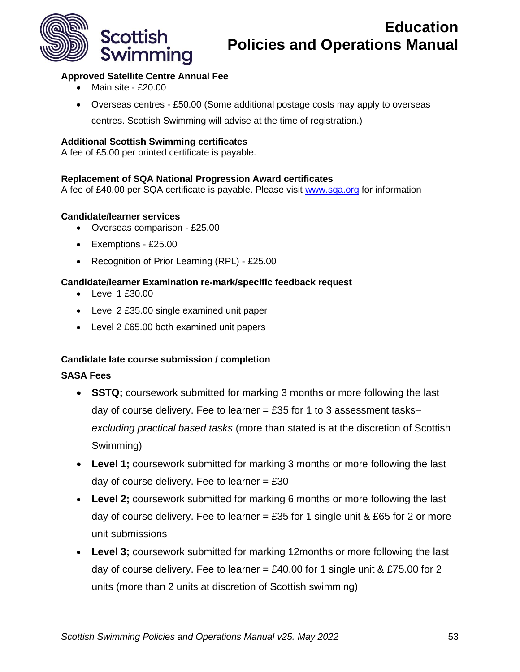

## **Approved Satellite Centre Annual Fee**

- Main site £20.00
- Overseas centres £50.00 (Some additional postage costs may apply to overseas

centres. Scottish Swimming will advise at the time of registration.)

### **Additional Scottish Swimming certificates**

A fee of £5.00 per printed certificate is payable.

#### **Replacement of SQA National Progression Award certificates**

A fee of £40.00 per SQA certificate is payable. Please visit [www.sqa.org](http://www.sqa.org/) for information

#### **Candidate/learner services**

- Overseas comparison £25.00
- Exemptions £25.00
- Recognition of Prior Learning (RPL) £25.00

## **Candidate/learner Examination re-mark/specific feedback request**

- Level 1 £30.00
- Level 2 £35.00 single examined unit paper
- Level 2 £65.00 both examined unit papers

## **Candidate late course submission / completion**

## **SASA Fees**

- **SSTQ;** coursework submitted for marking 3 months or more following the last day of course delivery. Fee to learner  $=$  £35 for 1 to 3 assessment tasks*excluding practical based tasks* (more than stated is at the discretion of Scottish Swimming)
- **Level 1;** coursework submitted for marking 3 months or more following the last day of course delivery. Fee to learner  $= \text{\pounds}30$
- **Level 2;** coursework submitted for marking 6 months or more following the last day of course delivery. Fee to learner = £35 for 1 single unit & £65 for 2 or more unit submissions
- **Level 3;** coursework submitted for marking 12months or more following the last day of course delivery. Fee to learner = £40.00 for 1 single unit & £75.00 for 2 units (more than 2 units at discretion of Scottish swimming)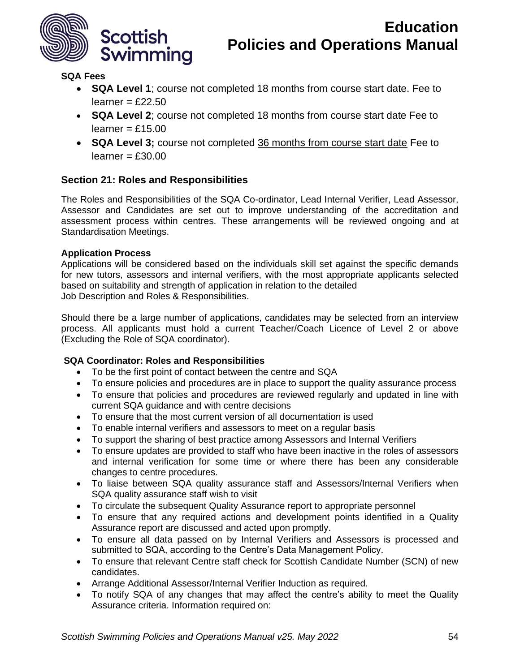

## **SQA Fees**

- **SQA Level 1**; course not completed 18 months from course start date. Fee to  $learner = £22.50$
- **SQA Level 2**; course not completed 18 months from course start date Fee to  $learner = £15.00$
- **SQA Level 3;** course not completed 36 months from course start date Fee to  $learner = £30.00$

## <span id="page-53-0"></span>**Section 21: Roles and Responsibilities**

The Roles and Responsibilities of the SQA Co-ordinator, Lead Internal Verifier, Lead Assessor, Assessor and Candidates are set out to improve understanding of the accreditation and assessment process within centres. These arrangements will be reviewed ongoing and at Standardisation Meetings.

#### **Application Process**

Applications will be considered based on the individuals skill set against the specific demands for new tutors, assessors and internal verifiers, with the most appropriate applicants selected based on suitability and strength of application in relation to the detailed Job Description and Roles & Responsibilities.

Should there be a large number of applications, candidates may be selected from an interview process. All applicants must hold a current Teacher/Coach Licence of Level 2 or above (Excluding the Role of SQA coordinator).

## **SQA Coordinator: Roles and Responsibilities**

- To be the first point of contact between the centre and SQA
- To ensure policies and procedures are in place to support the quality assurance process
- To ensure that policies and procedures are reviewed regularly and updated in line with current SQA guidance and with centre decisions
- To ensure that the most current version of all documentation is used
- To enable internal verifiers and assessors to meet on a regular basis
- To support the sharing of best practice among Assessors and Internal Verifiers
- To ensure updates are provided to staff who have been inactive in the roles of assessors and internal verification for some time or where there has been any considerable changes to centre procedures.
- To liaise between SQA quality assurance staff and Assessors/Internal Verifiers when SQA quality assurance staff wish to visit
- To circulate the subsequent Quality Assurance report to appropriate personnel
- To ensure that any required actions and development points identified in a Quality Assurance report are discussed and acted upon promptly.
- To ensure all data passed on by Internal Verifiers and Assessors is processed and submitted to SQA, according to the Centre's Data Management Policy.
- To ensure that relevant Centre staff check for Scottish Candidate Number (SCN) of new candidates.
- Arrange Additional Assessor/Internal Verifier Induction as required.
- To notify SQA of any changes that may affect the centre's ability to meet the Quality Assurance criteria. Information required on: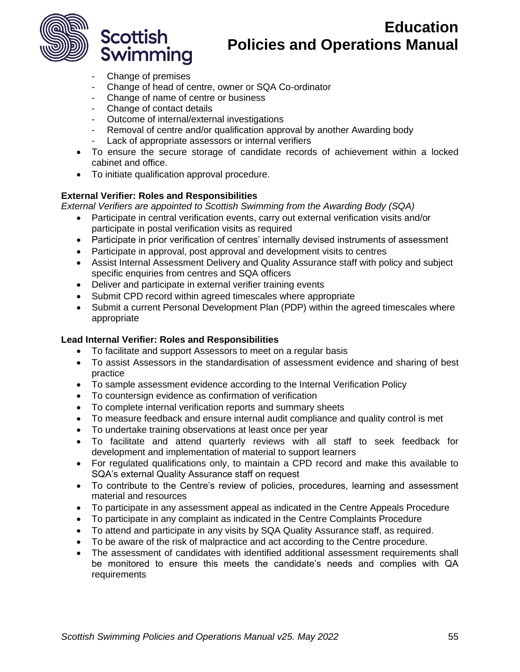

- Change of premises

Swimming

**Scottish** 

- Change of head of centre, owner or SQA Co-ordinator
- Change of name of centre or business
- Change of contact details
- Outcome of internal/external investigations
- Removal of centre and/or qualification approval by another Awarding body
- Lack of appropriate assessors or internal verifiers
- To ensure the secure storage of candidate records of achievement within a locked cabinet and office.
- To initiate qualification approval procedure.

#### **External Verifier: Roles and Responsibilities**

*External Verifiers are appointed to Scottish Swimming from the Awarding Body (SQA)*

- Participate in central verification events, carry out external verification visits and/or participate in postal verification visits as required
- Participate in prior verification of centres' internally devised instruments of assessment
- Participate in approval, post approval and development visits to centres
- Assist Internal Assessment Delivery and Quality Assurance staff with policy and subject specific enquiries from centres and SQA officers
- Deliver and participate in external verifier training events
- Submit CPD record within agreed timescales where appropriate
- Submit a current Personal Development Plan (PDP) within the agreed timescales where appropriate

### **Lead Internal Verifier: Roles and Responsibilities**

- To facilitate and support Assessors to meet on a regular basis
- To assist Assessors in the standardisation of assessment evidence and sharing of best practice
- To sample assessment evidence according to the Internal Verification Policy
- To countersign evidence as confirmation of verification
- To complete internal verification reports and summary sheets
- To measure feedback and ensure internal audit compliance and quality control is met
- To undertake training observations at least once per year
- To facilitate and attend quarterly reviews with all staff to seek feedback for development and implementation of material to support learners
- For regulated qualifications only, to maintain a CPD record and make this available to SQA's external Quality Assurance staff on request
- To contribute to the Centre's review of policies, procedures, learning and assessment material and resources
- To participate in any assessment appeal as indicated in the Centre Appeals Procedure
- To participate in any complaint as indicated in the Centre Complaints Procedure
- To attend and participate in any visits by SQA Quality Assurance staff, as required.
- To be aware of the risk of malpractice and act according to the Centre procedure.
- The assessment of candidates with identified additional assessment requirements shall be monitored to ensure this meets the candidate's needs and complies with QA requirements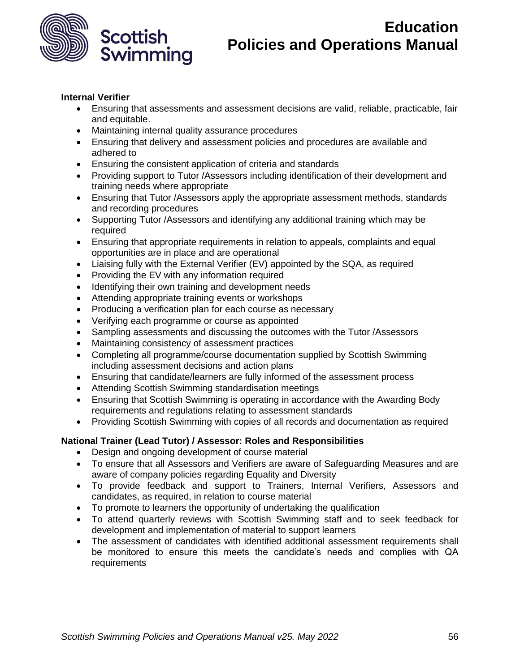

#### **Internal Verifier**

- Ensuring that assessments and assessment decisions are valid, reliable, practicable, fair and equitable.
- Maintaining internal quality assurance procedures
- Ensuring that delivery and assessment policies and procedures are available and adhered to
- Ensuring the consistent application of criteria and standards
- Providing support to Tutor /Assessors including identification of their development and training needs where appropriate
- Ensuring that Tutor /Assessors apply the appropriate assessment methods, standards and recording procedures
- Supporting Tutor /Assessors and identifying any additional training which may be required
- Ensuring that appropriate requirements in relation to appeals, complaints and equal opportunities are in place and are operational
- Liaising fully with the External Verifier (EV) appointed by the SQA, as required
- Providing the EV with any information required
- Identifying their own training and development needs
- Attending appropriate training events or workshops
- Producing a verification plan for each course as necessary
- Verifying each programme or course as appointed
- Sampling assessments and discussing the outcomes with the Tutor /Assessors
- Maintaining consistency of assessment practices
- Completing all programme/course documentation supplied by Scottish Swimming including assessment decisions and action plans
- Ensuring that candidate/learners are fully informed of the assessment process
- Attending Scottish Swimming standardisation meetings
- Ensuring that Scottish Swimming is operating in accordance with the Awarding Body requirements and regulations relating to assessment standards
- Providing Scottish Swimming with copies of all records and documentation as required

## **National Trainer (Lead Tutor) / Assessor: Roles and Responsibilities**

- Design and ongoing development of course material
- To ensure that all Assessors and Verifiers are aware of Safeguarding Measures and are aware of company policies regarding Equality and Diversity
- To provide feedback and support to Trainers, Internal Verifiers, Assessors and candidates, as required, in relation to course material
- To promote to learners the opportunity of undertaking the qualification
- To attend quarterly reviews with Scottish Swimming staff and to seek feedback for development and implementation of material to support learners
- The assessment of candidates with identified additional assessment requirements shall be monitored to ensure this meets the candidate's needs and complies with QA requirements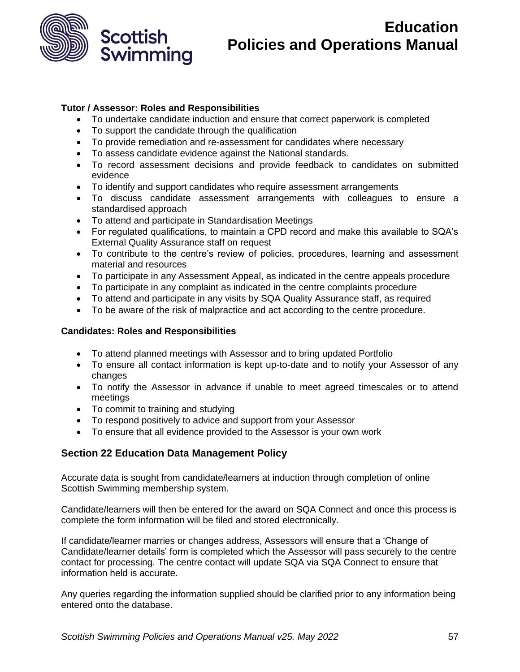

## **Tutor / Assessor: Roles and Responsibilities**

- To undertake candidate induction and ensure that correct paperwork is completed
- To support the candidate through the qualification
- To provide remediation and re-assessment for candidates where necessary
- To assess candidate evidence against the National standards.
- To record assessment decisions and provide feedback to candidates on submitted evidence
- To identify and support candidates who require assessment arrangements
- To discuss candidate assessment arrangements with colleagues to ensure a standardised approach
- To attend and participate in Standardisation Meetings
- For regulated qualifications, to maintain a CPD record and make this available to SQA's External Quality Assurance staff on request
- To contribute to the centre's review of policies, procedures, learning and assessment material and resources
- To participate in any Assessment Appeal, as indicated in the centre appeals procedure
- To participate in any complaint as indicated in the centre complaints procedure
- To attend and participate in any visits by SQA Quality Assurance staff, as required
- To be aware of the risk of malpractice and act according to the centre procedure.

#### **Candidates: Roles and Responsibilities**

- To attend planned meetings with Assessor and to bring updated Portfolio
- To ensure all contact information is kept up-to-date and to notify your Assessor of any changes
- To notify the Assessor in advance if unable to meet agreed timescales or to attend meetings
- To commit to training and studying
- To respond positively to advice and support from your Assessor
- To ensure that all evidence provided to the Assessor is your own work

## <span id="page-56-0"></span>**Section 22 Education Data Management Policy**

Accurate data is sought from candidate/learners at induction through completion of online Scottish Swimming membership system.

Candidate/learners will then be entered for the award on SQA Connect and once this process is complete the form information will be filed and stored electronically.

If candidate/learner marries or changes address, Assessors will ensure that a 'Change of Candidate/learner details' form is completed which the Assessor will pass securely to the centre contact for processing. The centre contact will update SQA via SQA Connect to ensure that information held is accurate.

Any queries regarding the information supplied should be clarified prior to any information being entered onto the database.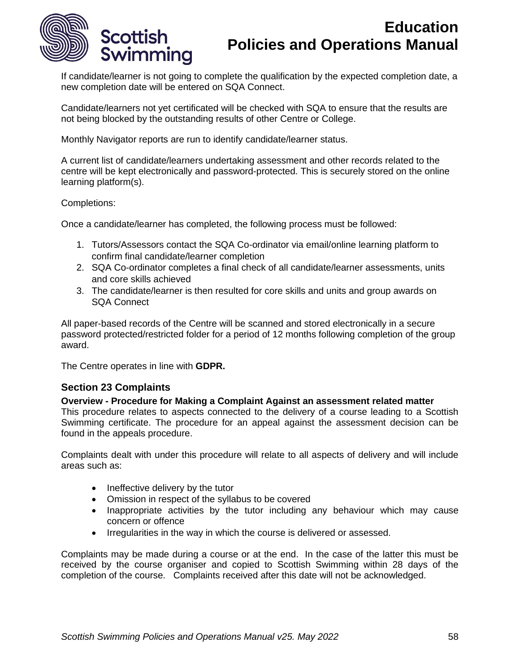

If candidate/learner is not going to complete the qualification by the expected completion date, a new completion date will be entered on SQA Connect.

Candidate/learners not yet certificated will be checked with SQA to ensure that the results are not being blocked by the outstanding results of other Centre or College.

Monthly Navigator reports are run to identify candidate/learner status.

A current list of candidate/learners undertaking assessment and other records related to the centre will be kept electronically and password-protected. This is securely stored on the online learning platform(s).

#### Completions:

Once a candidate/learner has completed, the following process must be followed:

- 1. Tutors/Assessors contact the SQA Co-ordinator via email/online learning platform to confirm final candidate/learner completion
- 2. SQA Co-ordinator completes a final check of all candidate/learner assessments, units and core skills achieved
- 3. The candidate/learner is then resulted for core skills and units and group awards on SQA Connect

All paper-based records of the Centre will be scanned and stored electronically in a secure password protected/restricted folder for a period of 12 months following completion of the group award.

The Centre operates in line with **GDPR.** 

## <span id="page-57-0"></span>**Section 23 Complaints**

#### **Overview - Procedure for Making a Complaint Against an assessment related matter**

This procedure relates to aspects connected to the delivery of a course leading to a Scottish Swimming certificate. The procedure for an appeal against the assessment decision can be found in the appeals procedure.

Complaints dealt with under this procedure will relate to all aspects of delivery and will include areas such as:

- Ineffective delivery by the tutor
- Omission in respect of the syllabus to be covered
- Inappropriate activities by the tutor including any behaviour which may cause concern or offence
- Irregularities in the way in which the course is delivered or assessed.

Complaints may be made during a course or at the end. In the case of the latter this must be received by the course organiser and copied to Scottish Swimming within 28 days of the completion of the course. Complaints received after this date will not be acknowledged.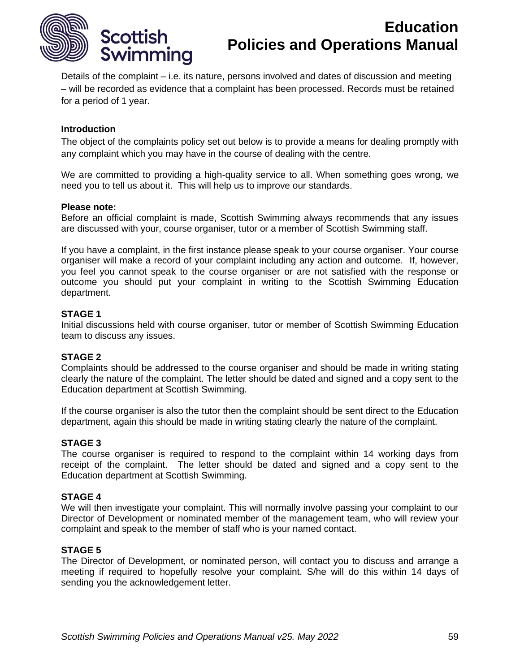

Details of the complaint – i.e. its nature, persons involved and dates of discussion and meeting – will be recorded as evidence that a complaint has been processed. Records must be retained for a period of 1 year.

#### **Introduction**

The object of the complaints policy set out below is to provide a means for dealing promptly with any complaint which you may have in the course of dealing with the centre.

We are committed to providing a high-quality service to all. When something goes wrong, we need you to tell us about it. This will help us to improve our standards.

#### **Please note:**

Before an official complaint is made, Scottish Swimming always recommends that any issues are discussed with your, course organiser, tutor or a member of Scottish Swimming staff.

If you have a complaint, in the first instance please speak to your course organiser. Your course organiser will make a record of your complaint including any action and outcome. If, however, you feel you cannot speak to the course organiser or are not satisfied with the response or outcome you should put your complaint in writing to the Scottish Swimming Education department.

#### **STAGE 1**

Initial discussions held with course organiser, tutor or member of Scottish Swimming Education team to discuss any issues.

#### **STAGE 2**

Complaints should be addressed to the course organiser and should be made in writing stating clearly the nature of the complaint. The letter should be dated and signed and a copy sent to the Education department at Scottish Swimming.

If the course organiser is also the tutor then the complaint should be sent direct to the Education department, again this should be made in writing stating clearly the nature of the complaint.

#### **STAGE 3**

The course organiser is required to respond to the complaint within 14 working days from receipt of the complaint. The letter should be dated and signed and a copy sent to the Education department at Scottish Swimming.

#### **STAGE 4**

We will then investigate your complaint. This will normally involve passing your complaint to our Director of Development or nominated member of the management team, who will review your complaint and speak to the member of staff who is your named contact.

#### **STAGE 5**

The Director of Development, or nominated person, will contact you to discuss and arrange a meeting if required to hopefully resolve your complaint. S/he will do this within 14 days of sending you the acknowledgement letter.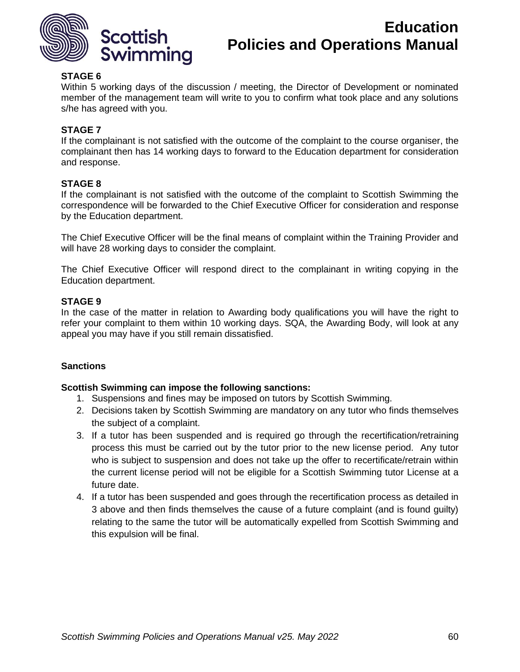

## **STAGE 6**

Within 5 working days of the discussion / meeting, the Director of Development or nominated member of the management team will write to you to confirm what took place and any solutions s/he has agreed with you.

### **STAGE 7**

If the complainant is not satisfied with the outcome of the complaint to the course organiser, the complainant then has 14 working days to forward to the Education department for consideration and response.

#### **STAGE 8**

If the complainant is not satisfied with the outcome of the complaint to Scottish Swimming the correspondence will be forwarded to the Chief Executive Officer for consideration and response by the Education department.

The Chief Executive Officer will be the final means of complaint within the Training Provider and will have 28 working days to consider the complaint.

The Chief Executive Officer will respond direct to the complainant in writing copying in the Education department.

#### **STAGE 9**

In the case of the matter in relation to Awarding body qualifications you will have the right to refer your complaint to them within 10 working days. SQA, the Awarding Body, will look at any appeal you may have if you still remain dissatisfied.

#### **Sanctions**

#### **Scottish Swimming can impose the following sanctions:**

- 1. Suspensions and fines may be imposed on tutors by Scottish Swimming.
- 2. Decisions taken by Scottish Swimming are mandatory on any tutor who finds themselves the subject of a complaint.
- 3. If a tutor has been suspended and is required go through the recertification/retraining process this must be carried out by the tutor prior to the new license period. Any tutor who is subject to suspension and does not take up the offer to recertificate/retrain within the current license period will not be eligible for a Scottish Swimming tutor License at a future date.
- 4. If a tutor has been suspended and goes through the recertification process as detailed in 3 above and then finds themselves the cause of a future complaint (and is found guilty) relating to the same the tutor will be automatically expelled from Scottish Swimming and this expulsion will be final.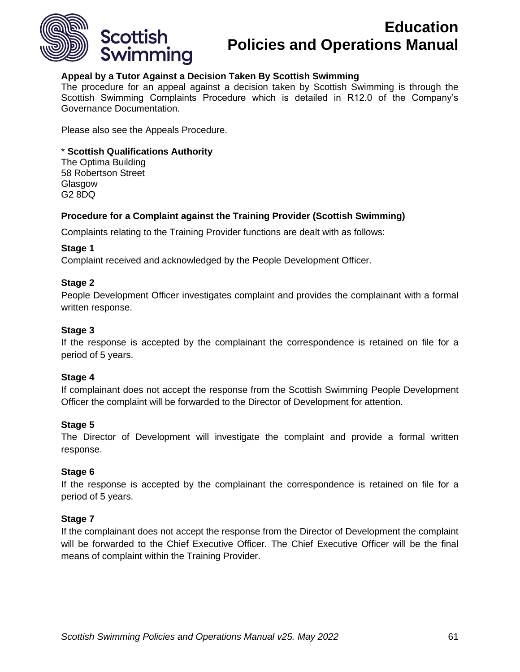

### **Appeal by a Tutor Against a Decision Taken By Scottish Swimming**

The procedure for an appeal against a decision taken by Scottish Swimming is through the Scottish Swimming Complaints Procedure which is detailed in R12.0 of the Company's Governance Documentation.

Please also see the Appeals Procedure.

#### \* **Scottish Qualifications Authority**

The Optima Building 58 Robertson Street Glasgow G2 8DQ

#### **Procedure for a Complaint against the Training Provider (Scottish Swimming)**

Complaints relating to the Training Provider functions are dealt with as follows:

#### **Stage 1**

Complaint received and acknowledged by the People Development Officer.

#### **Stage 2**

People Development Officer investigates complaint and provides the complainant with a formal written response.

#### **Stage 3**

If the response is accepted by the complainant the correspondence is retained on file for a period of 5 years.

#### **Stage 4**

If complainant does not accept the response from the Scottish Swimming People Development Officer the complaint will be forwarded to the Director of Development for attention.

#### **Stage 5**

The Director of Development will investigate the complaint and provide a formal written response.

#### **Stage 6**

If the response is accepted by the complainant the correspondence is retained on file for a period of 5 years.

#### **Stage 7**

If the complainant does not accept the response from the Director of Development the complaint will be forwarded to the Chief Executive Officer. The Chief Executive Officer will be the final means of complaint within the Training Provider.